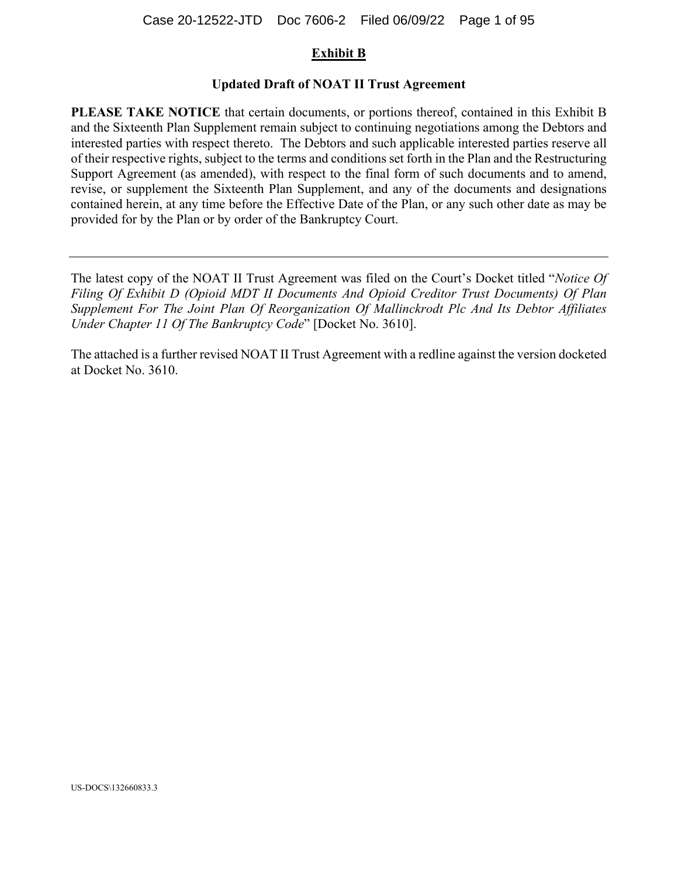#### **Exhibit B**

#### **Updated Draft of NOAT II Trust Agreement**

**PLEASE TAKE NOTICE** that certain documents, or portions thereof, contained in this Exhibit B and the Sixteenth Plan Supplement remain subject to continuing negotiations among the Debtors and interested parties with respect thereto. The Debtors and such applicable interested parties reserve all of their respective rights, subject to the terms and conditions set forth in the Plan and the Restructuring Support Agreement (as amended), with respect to the final form of such documents and to amend, revise, or supplement the Sixteenth Plan Supplement, and any of the documents and designations contained herein, at any time before the Effective Date of the Plan, or any such other date as may be provided for by the Plan or by order of the Bankruptcy Court.

The latest copy of the NOAT II Trust Agreement was filed on the Court's Docket titled "*Notice Of Filing Of Exhibit D (Opioid MDT II Documents And Opioid Creditor Trust Documents) Of Plan Supplement For The Joint Plan Of Reorganization Of Mallinckrodt Plc And Its Debtor Affiliates Under Chapter 11 Of The Bankruptcy Code*" [Docket No. 3610].

The attached is a further revised NOAT II Trust Agreement with a redline against the version docketed at Docket No. 3610.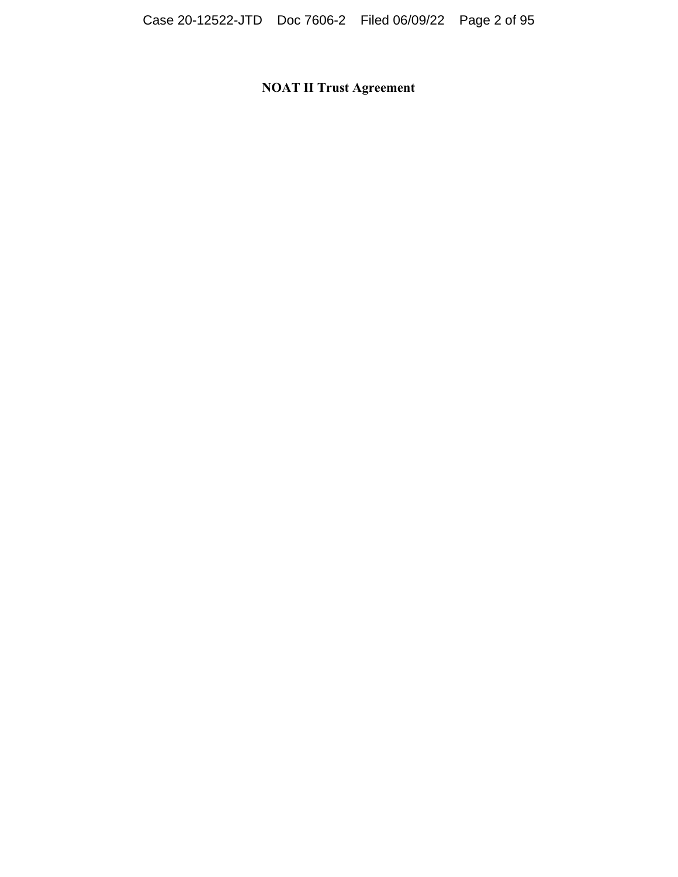**NOAT II Trust Agreement**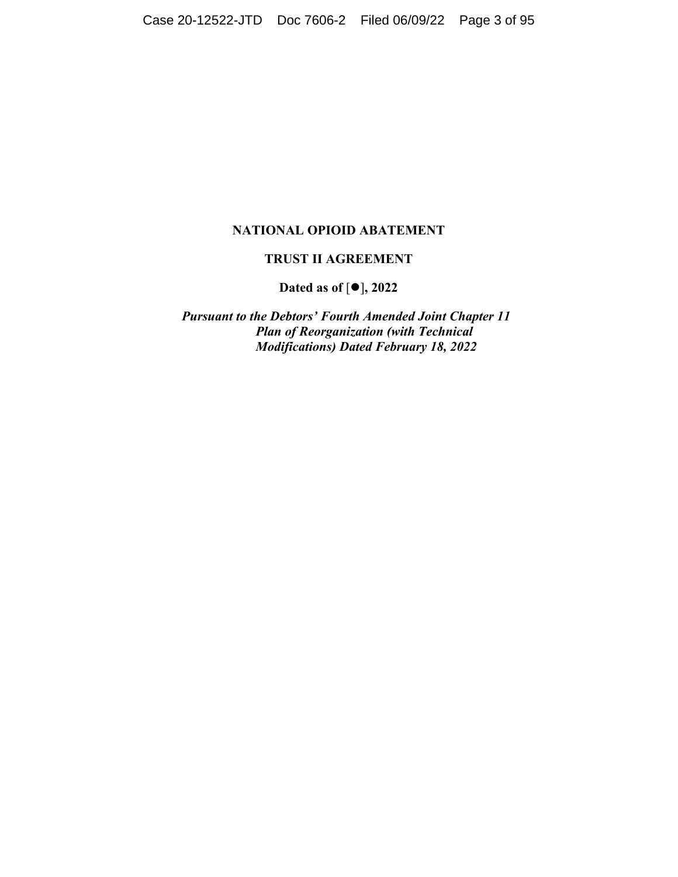#### **NATIONAL OPIOID ABATEMENT**

#### **TRUST II AGREEMENT**

Dated as of  $[①]$ , 2022

*Pursuant to the Debtors' Fourth Amended Joint Chapter 11 Plan of Reorganization (with Technical Modifications) Dated February 18, 2022*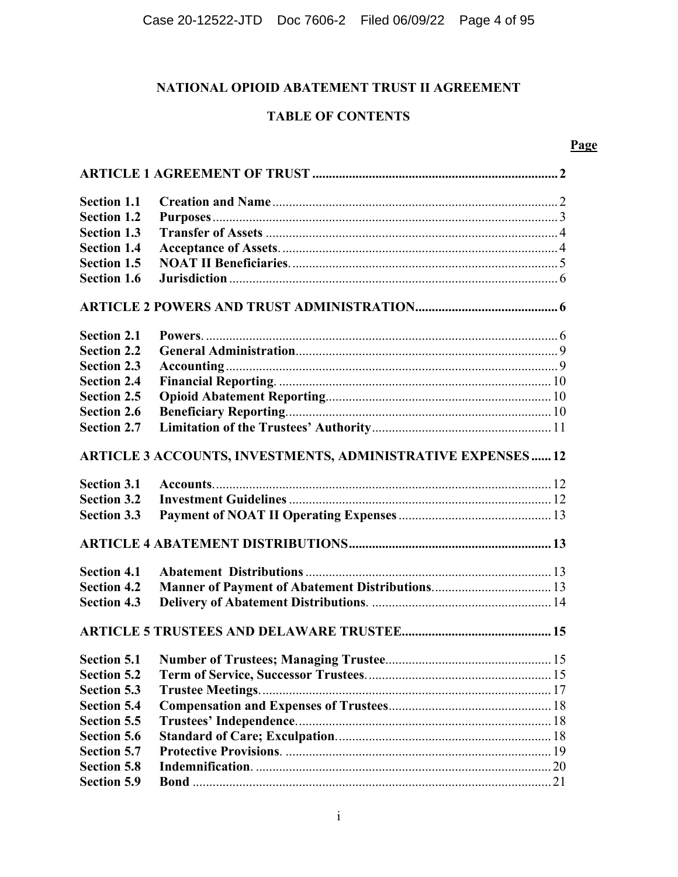## **NATIONAL OPIOID ABATEMENT TRUST II AGREEMENT**

### **TABLE OF CONTENTS**

#### **Page**

| <b>Section 1.1</b>                                                |  |  |  |  |  |
|-------------------------------------------------------------------|--|--|--|--|--|
| <b>Section 1.2</b>                                                |  |  |  |  |  |
| <b>Section 1.3</b>                                                |  |  |  |  |  |
| <b>Section 1.4</b>                                                |  |  |  |  |  |
| <b>Section 1.5</b>                                                |  |  |  |  |  |
| <b>Section 1.6</b>                                                |  |  |  |  |  |
|                                                                   |  |  |  |  |  |
| <b>Section 2.1</b>                                                |  |  |  |  |  |
| <b>Section 2.2</b>                                                |  |  |  |  |  |
| <b>Section 2.3</b>                                                |  |  |  |  |  |
| <b>Section 2.4</b>                                                |  |  |  |  |  |
| <b>Section 2.5</b>                                                |  |  |  |  |  |
| <b>Section 2.6</b>                                                |  |  |  |  |  |
| <b>Section 2.7</b>                                                |  |  |  |  |  |
| <b>ARTICLE 3 ACCOUNTS, INVESTMENTS, ADMINISTRATIVE EXPENSES12</b> |  |  |  |  |  |
| <b>Section 3.1</b>                                                |  |  |  |  |  |
| <b>Section 3.2</b>                                                |  |  |  |  |  |
| <b>Section 3.3</b>                                                |  |  |  |  |  |
|                                                                   |  |  |  |  |  |
| <b>Section 4.1</b>                                                |  |  |  |  |  |
| <b>Section 4.2</b>                                                |  |  |  |  |  |
| <b>Section 4.3</b>                                                |  |  |  |  |  |
|                                                                   |  |  |  |  |  |
|                                                                   |  |  |  |  |  |
| <b>Section 5.2</b>                                                |  |  |  |  |  |
| <b>Section 5.3</b>                                                |  |  |  |  |  |
| <b>Section 5.4</b>                                                |  |  |  |  |  |
| <b>Section 5.5</b>                                                |  |  |  |  |  |
| <b>Section 5.6</b>                                                |  |  |  |  |  |
| <b>Section 5.7</b>                                                |  |  |  |  |  |
| <b>Section 5.8</b>                                                |  |  |  |  |  |
| <b>Section 5.9</b>                                                |  |  |  |  |  |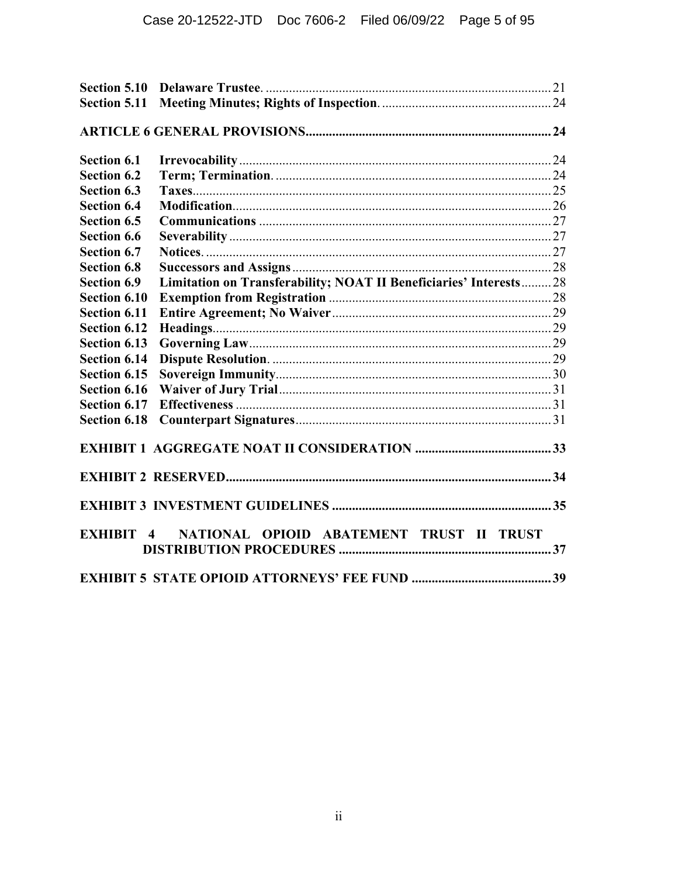| Section 5.11        |                                                                    |  |
|---------------------|--------------------------------------------------------------------|--|
|                     |                                                                    |  |
| Section 6.1         |                                                                    |  |
| <b>Section 6.2</b>  |                                                                    |  |
| <b>Section 6.3</b>  |                                                                    |  |
| <b>Section 6.4</b>  |                                                                    |  |
| <b>Section 6.5</b>  |                                                                    |  |
| <b>Section 6.6</b>  |                                                                    |  |
| <b>Section 6.7</b>  |                                                                    |  |
| <b>Section 6.8</b>  |                                                                    |  |
| <b>Section 6.9</b>  | Limitation on Transferability; NOAT II Beneficiaries' Interests 28 |  |
| <b>Section 6.10</b> |                                                                    |  |
| <b>Section 6.11</b> |                                                                    |  |
| <b>Section 6.12</b> |                                                                    |  |
| <b>Section 6.13</b> |                                                                    |  |
| <b>Section 6.14</b> |                                                                    |  |
| Section 6.15        |                                                                    |  |
| <b>Section 6.16</b> |                                                                    |  |
| <b>Section 6.17</b> |                                                                    |  |
| <b>Section 6.18</b> |                                                                    |  |
|                     |                                                                    |  |
|                     |                                                                    |  |
|                     |                                                                    |  |
| EXHIBIT 4           | NATIONAL OPIOID ABATEMENT TRUST II TRUST                           |  |
|                     |                                                                    |  |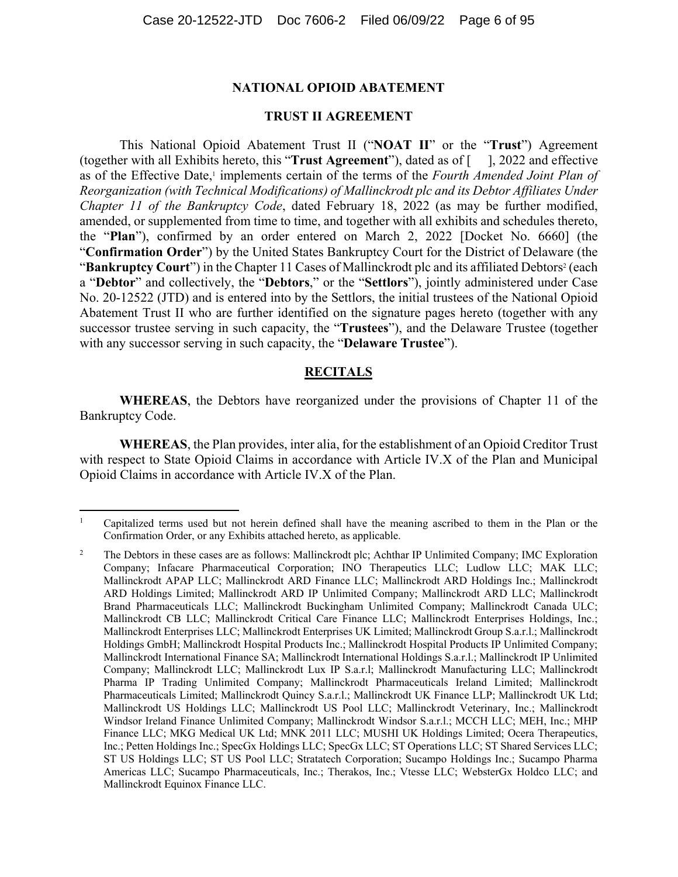#### **NATIONAL OPIOID ABATEMENT**

#### **TRUST II AGREEMENT**

This National Opioid Abatement Trust II ("**NOAT II**" or the "**Trust**") Agreement (together with all Exhibits hereto, this "**Trust Agreement**"), dated as of [ ], 2022 and effective as of the Effective Date,<sup>1</sup> implements certain of the terms of the *Fourth Amended Joint Plan of Reorganization (with Technical Modifications) of Mallinckrodt plc and its Debtor Affiliates Under Chapter 11 of the Bankruptcy Code*, dated February 18, 2022 (as may be further modified, amended, or supplemented from time to time, and together with all exhibits and schedules thereto, the "**Plan**"), confirmed by an order entered on March 2, 2022 [Docket No. 6660] (the "**Confirmation Order**") by the United States Bankruptcy Court for the District of Delaware (the "**Bankruptcy Court**") in the Chapter 11 Cases of Mallinckrodt plc and its affiliated Debtors<sup>2</sup> (each a "**Debtor**" and collectively, the "**Debtors**," or the "**Settlors**"), jointly administered under Case No. 20-12522 (JTD) and is entered into by the Settlors, the initial trustees of the National Opioid Abatement Trust II who are further identified on the signature pages hereto (together with any successor trustee serving in such capacity, the "**Trustees**"), and the Delaware Trustee (together with any successor serving in such capacity, the "**Delaware Trustee**").

#### **RECITALS**

**WHEREAS**, the Debtors have reorganized under the provisions of Chapter 11 of the Bankruptcy Code.

**WHEREAS**, the Plan provides, inter alia, for the establishment of an Opioid Creditor Trust with respect to State Opioid Claims in accordance with Article IV.X of the Plan and Municipal Opioid Claims in accordance with Article IV.X of the Plan.

 $\overline{a}$ 

<sup>1</sup> Capitalized terms used but not herein defined shall have the meaning ascribed to them in the Plan or the Confirmation Order, or any Exhibits attached hereto, as applicable.

<sup>2</sup> The Debtors in these cases are as follows: Mallinckrodt plc; Achthar IP Unlimited Company; IMC Exploration Company; Infacare Pharmaceutical Corporation; INO Therapeutics LLC; Ludlow LLC; MAK LLC; Mallinckrodt APAP LLC; Mallinckrodt ARD Finance LLC; Mallinckrodt ARD Holdings Inc.; Mallinckrodt ARD Holdings Limited; Mallinckrodt ARD IP Unlimited Company; Mallinckrodt ARD LLC; Mallinckrodt Brand Pharmaceuticals LLC; Mallinckrodt Buckingham Unlimited Company; Mallinckrodt Canada ULC; Mallinckrodt CB LLC; Mallinckrodt Critical Care Finance LLC; Mallinckrodt Enterprises Holdings, Inc.; Mallinckrodt Enterprises LLC; Mallinckrodt Enterprises UK Limited; Mallinckrodt Group S.a.r.l.; Mallinckrodt Holdings GmbH; Mallinckrodt Hospital Products Inc.; Mallinckrodt Hospital Products IP Unlimited Company; Mallinckrodt International Finance SA; Mallinckrodt International Holdings S.a.r.l.; Mallinckrodt IP Unlimited Company; Mallinckrodt LLC; Mallinckrodt Lux IP S.a.r.l; Mallinckrodt Manufacturing LLC; Mallinckrodt Pharma IP Trading Unlimited Company; Mallinckrodt Pharmaceuticals Ireland Limited; Mallinckrodt Pharmaceuticals Limited; Mallinckrodt Quincy S.a.r.l.; Mallinckrodt UK Finance LLP; Mallinckrodt UK Ltd; Mallinckrodt US Holdings LLC; Mallinckrodt US Pool LLC; Mallinckrodt Veterinary, Inc.; Mallinckrodt Windsor Ireland Finance Unlimited Company; Mallinckrodt Windsor S.a.r.l.; MCCH LLC; MEH, Inc.; MHP Finance LLC; MKG Medical UK Ltd; MNK 2011 LLC; MUSHI UK Holdings Limited; Ocera Therapeutics, Inc.; Petten Holdings Inc.; SpecGx Holdings LLC; SpecGx LLC; ST Operations LLC; ST Shared Services LLC; ST US Holdings LLC; ST US Pool LLC; Stratatech Corporation; Sucampo Holdings Inc.; Sucampo Pharma Americas LLC; Sucampo Pharmaceuticals, Inc.; Therakos, Inc.; Vtesse LLC; WebsterGx Holdco LLC; and Mallinckrodt Equinox Finance LLC.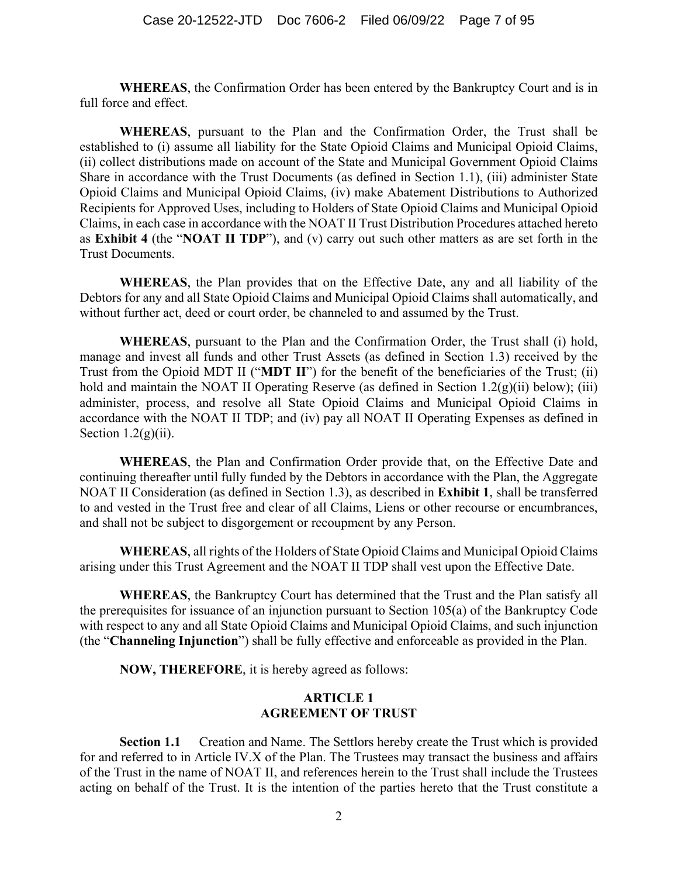**WHEREAS**, the Confirmation Order has been entered by the Bankruptcy Court and is in full force and effect.

**WHEREAS**, pursuant to the Plan and the Confirmation Order, the Trust shall be established to (i) assume all liability for the State Opioid Claims and Municipal Opioid Claims, (ii) collect distributions made on account of the State and Municipal Government Opioid Claims Share in accordance with the Trust Documents (as defined in Section 1.1), (iii) administer State Opioid Claims and Municipal Opioid Claims, (iv) make Abatement Distributions to Authorized Recipients for Approved Uses, including to Holders of State Opioid Claims and Municipal Opioid Claims, in each case in accordance with the NOAT II Trust Distribution Procedures attached hereto as **Exhibit 4** (the "**NOAT II TDP**"), and (v) carry out such other matters as are set forth in the Trust Documents.

**WHEREAS**, the Plan provides that on the Effective Date, any and all liability of the Debtors for any and all State Opioid Claims and Municipal Opioid Claims shall automatically, and without further act, deed or court order, be channeled to and assumed by the Trust.

**WHEREAS**, pursuant to the Plan and the Confirmation Order, the Trust shall (i) hold, manage and invest all funds and other Trust Assets (as defined in Section 1.3) received by the Trust from the Opioid MDT II ("**MDT II**") for the benefit of the beneficiaries of the Trust; (ii) hold and maintain the NOAT II Operating Reserve (as defined in Section 1.2(g)(ii) below); (iii) administer, process, and resolve all State Opioid Claims and Municipal Opioid Claims in accordance with the NOAT II TDP; and (iv) pay all NOAT II Operating Expenses as defined in Section  $1.2(g)(ii)$ .

**WHEREAS**, the Plan and Confirmation Order provide that, on the Effective Date and continuing thereafter until fully funded by the Debtors in accordance with the Plan, the Aggregate NOAT II Consideration (as defined in Section 1.3), as described in **Exhibit 1**, shall be transferred to and vested in the Trust free and clear of all Claims, Liens or other recourse or encumbrances, and shall not be subject to disgorgement or recoupment by any Person.

**WHEREAS**, all rights of the Holders of State Opioid Claims and Municipal Opioid Claims arising under this Trust Agreement and the NOAT II TDP shall vest upon the Effective Date.

**WHEREAS**, the Bankruptcy Court has determined that the Trust and the Plan satisfy all the prerequisites for issuance of an injunction pursuant to Section 105(a) of the Bankruptcy Code with respect to any and all State Opioid Claims and Municipal Opioid Claims, and such injunction (the "**Channeling Injunction**") shall be fully effective and enforceable as provided in the Plan.

**NOW, THEREFORE**, it is hereby agreed as follows:

#### **ARTICLE 1 AGREEMENT OF TRUST**

**Section 1.1** Creation and Name. The Settlors hereby create the Trust which is provided for and referred to in Article IV.X of the Plan. The Trustees may transact the business and affairs of the Trust in the name of NOAT II, and references herein to the Trust shall include the Trustees acting on behalf of the Trust. It is the intention of the parties hereto that the Trust constitute a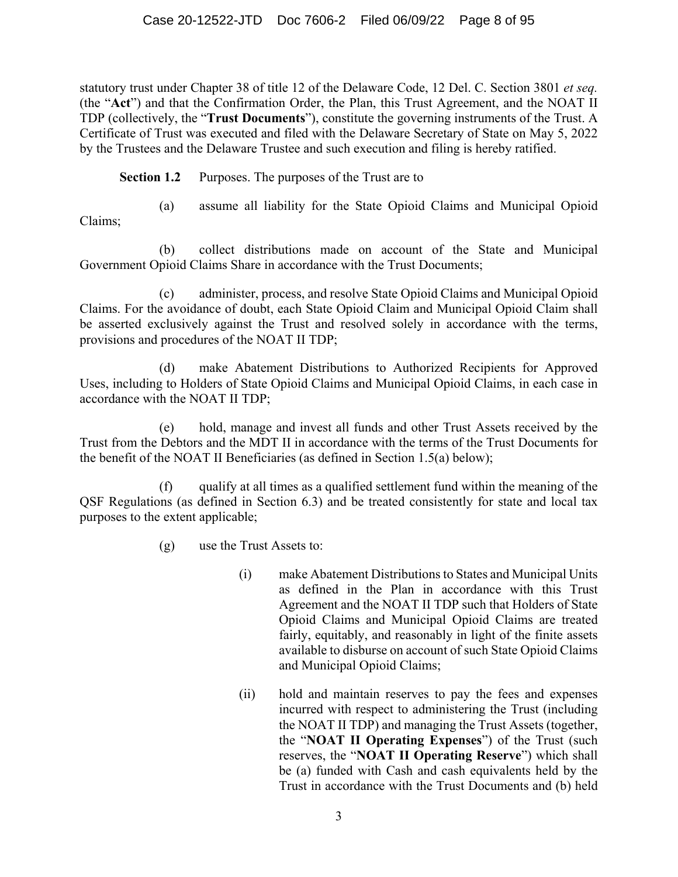statutory trust under Chapter 38 of title 12 of the Delaware Code, 12 Del. C. Section 3801 *et seq.*  (the "**Act**") and that the Confirmation Order, the Plan, this Trust Agreement, and the NOAT II TDP (collectively, the "**Trust Documents**"), constitute the governing instruments of the Trust. A Certificate of Trust was executed and filed with the Delaware Secretary of State on May 5, 2022 by the Trustees and the Delaware Trustee and such execution and filing is hereby ratified.

**Section 1.2** Purposes. The purposes of the Trust are to

(a) assume all liability for the State Opioid Claims and Municipal Opioid

Claims;

(b) collect distributions made on account of the State and Municipal Government Opioid Claims Share in accordance with the Trust Documents;

(c) administer, process, and resolve State Opioid Claims and Municipal Opioid Claims. For the avoidance of doubt, each State Opioid Claim and Municipal Opioid Claim shall be asserted exclusively against the Trust and resolved solely in accordance with the terms, provisions and procedures of the NOAT II TDP;

(d) make Abatement Distributions to Authorized Recipients for Approved Uses, including to Holders of State Opioid Claims and Municipal Opioid Claims, in each case in accordance with the NOAT II TDP;

(e) hold, manage and invest all funds and other Trust Assets received by the Trust from the Debtors and the MDT II in accordance with the terms of the Trust Documents for the benefit of the NOAT II Beneficiaries (as defined in Section 1.5(a) below);

qualify at all times as a qualified settlement fund within the meaning of the QSF Regulations (as defined in Section 6.3) and be treated consistently for state and local tax purposes to the extent applicable;

(g) use the Trust Assets to:

- (i) make Abatement Distributions to States and Municipal Units as defined in the Plan in accordance with this Trust Agreement and the NOAT II TDP such that Holders of State Opioid Claims and Municipal Opioid Claims are treated fairly, equitably, and reasonably in light of the finite assets available to disburse on account of such State Opioid Claims and Municipal Opioid Claims;
- (ii) hold and maintain reserves to pay the fees and expenses incurred with respect to administering the Trust (including the NOAT II TDP) and managing the Trust Assets (together, the "**NOAT II Operating Expenses**") of the Trust (such reserves, the "**NOAT II Operating Reserve**") which shall be (a) funded with Cash and cash equivalents held by the Trust in accordance with the Trust Documents and (b) held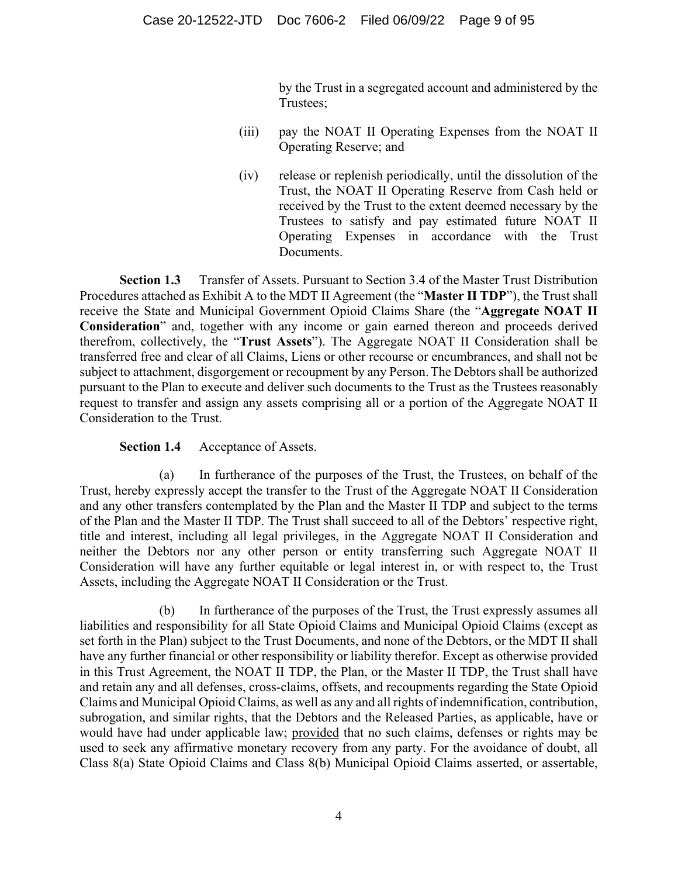by the Trust in a segregated account and administered by the Trustees;

- (iii) pay the NOAT II Operating Expenses from the NOAT II Operating Reserve; and
- (iv) release or replenish periodically, until the dissolution of the Trust, the NOAT II Operating Reserve from Cash held or received by the Trust to the extent deemed necessary by the Trustees to satisfy and pay estimated future NOAT II Operating Expenses in accordance with the Trust Documents.

**Section 1.3** Transfer of Assets. Pursuant to Section 3.4 of the Master Trust Distribution Procedures attached as Exhibit A to the MDT II Agreement (the "**Master II TDP**"), the Trust shall receive the State and Municipal Government Opioid Claims Share (the "**Aggregate NOAT II Consideration**" and, together with any income or gain earned thereon and proceeds derived therefrom, collectively, the "**Trust Assets**"). The Aggregate NOAT II Consideration shall be transferred free and clear of all Claims, Liens or other recourse or encumbrances, and shall not be subject to attachment, disgorgement or recoupment by any Person.The Debtors shall be authorized pursuant to the Plan to execute and deliver such documents to the Trust as the Trustees reasonably request to transfer and assign any assets comprising all or a portion of the Aggregate NOAT II Consideration to the Trust.

#### **Section 1.4** Acceptance of Assets.

(a) In furtherance of the purposes of the Trust, the Trustees, on behalf of the Trust, hereby expressly accept the transfer to the Trust of the Aggregate NOAT II Consideration and any other transfers contemplated by the Plan and the Master II TDP and subject to the terms of the Plan and the Master II TDP. The Trust shall succeed to all of the Debtors' respective right, title and interest, including all legal privileges, in the Aggregate NOAT II Consideration and neither the Debtors nor any other person or entity transferring such Aggregate NOAT II Consideration will have any further equitable or legal interest in, or with respect to, the Trust Assets, including the Aggregate NOAT II Consideration or the Trust.

(b) In furtherance of the purposes of the Trust, the Trust expressly assumes all liabilities and responsibility for all State Opioid Claims and Municipal Opioid Claims (except as set forth in the Plan) subject to the Trust Documents, and none of the Debtors, or the MDT II shall have any further financial or other responsibility or liability therefor. Except as otherwise provided in this Trust Agreement, the NOAT II TDP, the Plan, or the Master II TDP, the Trust shall have and retain any and all defenses, cross-claims, offsets, and recoupments regarding the State Opioid Claims and Municipal Opioid Claims, as well as any and all rights of indemnification, contribution, subrogation, and similar rights, that the Debtors and the Released Parties, as applicable, have or would have had under applicable law; provided that no such claims, defenses or rights may be used to seek any affirmative monetary recovery from any party. For the avoidance of doubt, all Class 8(a) State Opioid Claims and Class 8(b) Municipal Opioid Claims asserted, or assertable,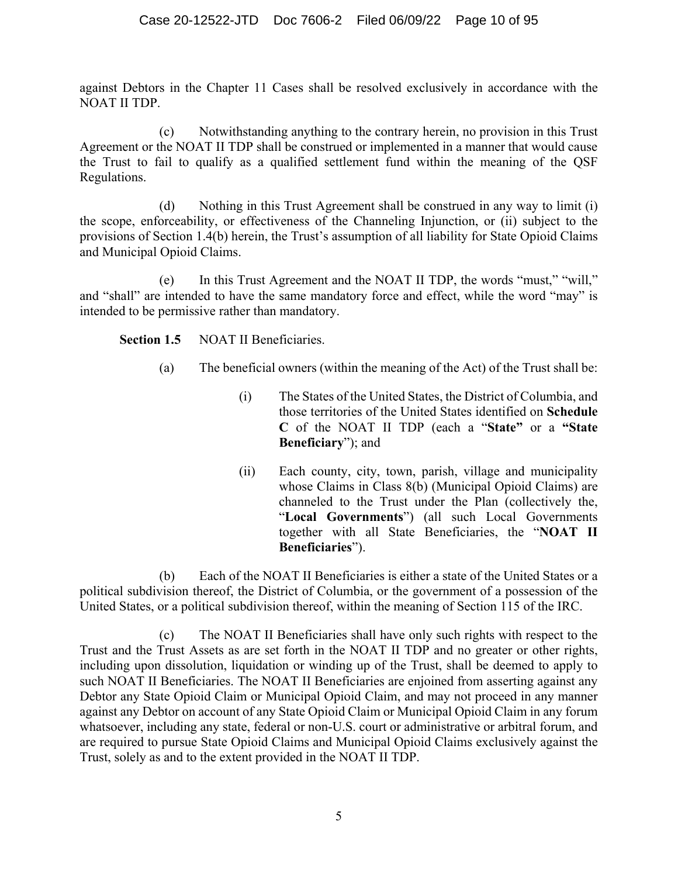against Debtors in the Chapter 11 Cases shall be resolved exclusively in accordance with the NOAT II TDP.

(c) Notwithstanding anything to the contrary herein, no provision in this Trust Agreement or the NOAT II TDP shall be construed or implemented in a manner that would cause the Trust to fail to qualify as a qualified settlement fund within the meaning of the QSF Regulations.

(d) Nothing in this Trust Agreement shall be construed in any way to limit (i) the scope, enforceability, or effectiveness of the Channeling Injunction, or (ii) subject to the provisions of Section 1.4(b) herein, the Trust's assumption of all liability for State Opioid Claims and Municipal Opioid Claims.

(e) In this Trust Agreement and the NOAT II TDP, the words "must," "will," and "shall" are intended to have the same mandatory force and effect, while the word "may" is intended to be permissive rather than mandatory.

**Section 1.5** NOAT II Beneficiaries.

- (a) The beneficial owners (within the meaning of the Act) of the Trust shall be:
	- (i) The States of the United States, the District of Columbia, and those territories of the United States identified on **Schedule C** of the NOAT II TDP (each a "**State"** or a **"State Beneficiary**"); and
	- (ii) Each county, city, town, parish, village and municipality whose Claims in Class 8(b) (Municipal Opioid Claims) are channeled to the Trust under the Plan (collectively the, "**Local Governments**") (all such Local Governments together with all State Beneficiaries, the "**NOAT II Beneficiaries**").

(b) Each of the NOAT II Beneficiaries is either a state of the United States or a political subdivision thereof, the District of Columbia, or the government of a possession of the United States, or a political subdivision thereof, within the meaning of Section 115 of the IRC.

(c) The NOAT II Beneficiaries shall have only such rights with respect to the Trust and the Trust Assets as are set forth in the NOAT II TDP and no greater or other rights, including upon dissolution, liquidation or winding up of the Trust, shall be deemed to apply to such NOAT II Beneficiaries. The NOAT II Beneficiaries are enjoined from asserting against any Debtor any State Opioid Claim or Municipal Opioid Claim, and may not proceed in any manner against any Debtor on account of any State Opioid Claim or Municipal Opioid Claim in any forum whatsoever, including any state, federal or non-U.S. court or administrative or arbitral forum, and are required to pursue State Opioid Claims and Municipal Opioid Claims exclusively against the Trust, solely as and to the extent provided in the NOAT II TDP.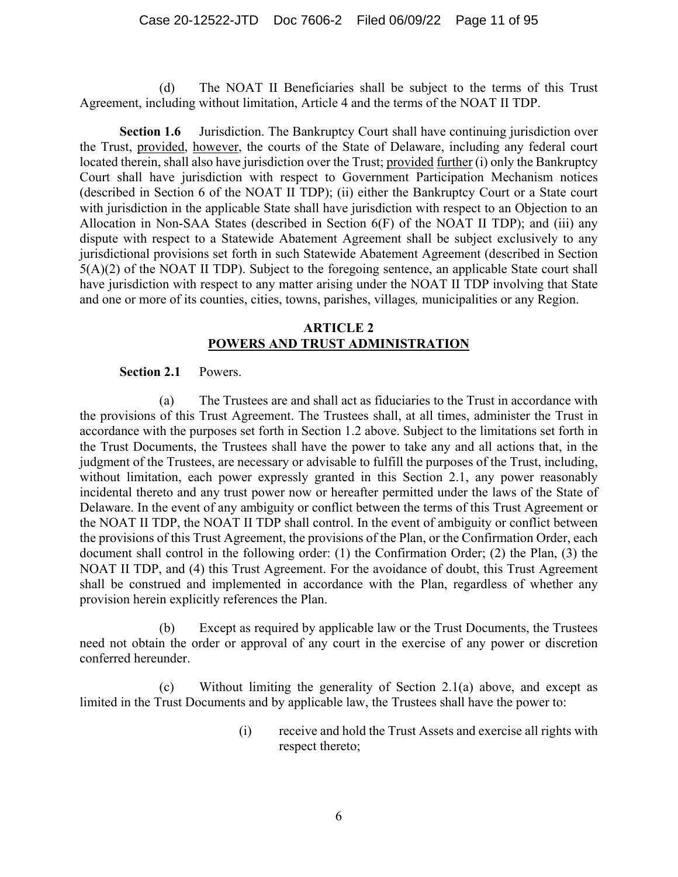(d) The NOAT II Beneficiaries shall be subject to the terms of this Trust Agreement, including without limitation, Article 4 and the terms of the NOAT II TDP.

**Section 1.6** Jurisdiction. The Bankruptcy Court shall have continuing jurisdiction over the Trust, provided, however, the courts of the State of Delaware, including any federal court located therein, shall also have jurisdiction over the Trust; provided further (i) only the Bankruptcy Court shall have jurisdiction with respect to Government Participation Mechanism notices (described in Section 6 of the NOAT II TDP); (ii) either the Bankruptcy Court or a State court with jurisdiction in the applicable State shall have jurisdiction with respect to an Objection to an Allocation in Non-SAA States (described in Section 6(F) of the NOAT II TDP); and (iii) any dispute with respect to a Statewide Abatement Agreement shall be subject exclusively to any jurisdictional provisions set forth in such Statewide Abatement Agreement (described in Section 5(A)(2) of the NOAT II TDP). Subject to the foregoing sentence, an applicable State court shall have jurisdiction with respect to any matter arising under the NOAT II TDP involving that State and one or more of its counties, cities, towns, parishes, villages*,* municipalities or any Region.

#### **ARTICLE 2 POWERS AND TRUST ADMINISTRATION**

#### **Section 2.1** Powers.

(a) The Trustees are and shall act as fiduciaries to the Trust in accordance with the provisions of this Trust Agreement. The Trustees shall, at all times, administer the Trust in accordance with the purposes set forth in Section 1.2 above. Subject to the limitations set forth in the Trust Documents, the Trustees shall have the power to take any and all actions that, in the judgment of the Trustees, are necessary or advisable to fulfill the purposes of the Trust, including, without limitation, each power expressly granted in this Section 2.1, any power reasonably incidental thereto and any trust power now or hereafter permitted under the laws of the State of Delaware. In the event of any ambiguity or conflict between the terms of this Trust Agreement or the NOAT II TDP, the NOAT II TDP shall control. In the event of ambiguity or conflict between the provisions of this Trust Agreement, the provisions of the Plan, or the Confirmation Order, each document shall control in the following order: (1) the Confirmation Order; (2) the Plan, (3) the NOAT II TDP, and (4) this Trust Agreement. For the avoidance of doubt, this Trust Agreement shall be construed and implemented in accordance with the Plan, regardless of whether any provision herein explicitly references the Plan.

(b) Except as required by applicable law or the Trust Documents, the Trustees need not obtain the order or approval of any court in the exercise of any power or discretion conferred hereunder.

(c) Without limiting the generality of Section 2.1(a) above, and except as limited in the Trust Documents and by applicable law, the Trustees shall have the power to:

> (i) receive and hold the Trust Assets and exercise all rights with respect thereto;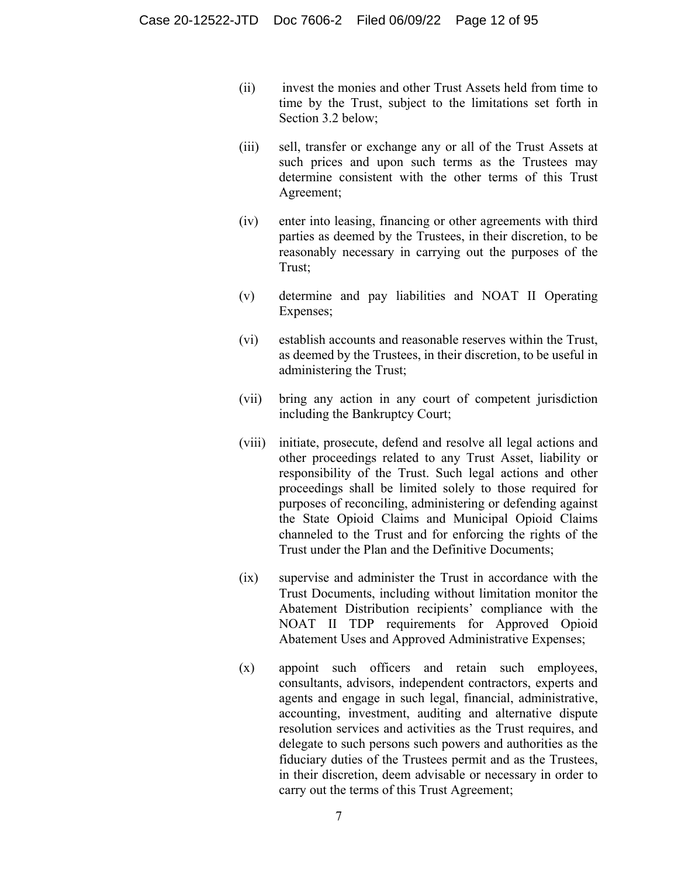- (ii) invest the monies and other Trust Assets held from time to time by the Trust, subject to the limitations set forth in Section 3.2 below;
- (iii) sell, transfer or exchange any or all of the Trust Assets at such prices and upon such terms as the Trustees may determine consistent with the other terms of this Trust Agreement;
- (iv) enter into leasing, financing or other agreements with third parties as deemed by the Trustees, in their discretion, to be reasonably necessary in carrying out the purposes of the Trust;
- (v) determine and pay liabilities and NOAT II Operating Expenses;
- (vi) establish accounts and reasonable reserves within the Trust, as deemed by the Trustees, in their discretion, to be useful in administering the Trust;
- (vii) bring any action in any court of competent jurisdiction including the Bankruptcy Court;
- (viii) initiate, prosecute, defend and resolve all legal actions and other proceedings related to any Trust Asset, liability or responsibility of the Trust. Such legal actions and other proceedings shall be limited solely to those required for purposes of reconciling, administering or defending against the State Opioid Claims and Municipal Opioid Claims channeled to the Trust and for enforcing the rights of the Trust under the Plan and the Definitive Documents;
- (ix) supervise and administer the Trust in accordance with the Trust Documents, including without limitation monitor the Abatement Distribution recipients' compliance with the NOAT II TDP requirements for Approved Opioid Abatement Uses and Approved Administrative Expenses;
- (x) appoint such officers and retain such employees, consultants, advisors, independent contractors, experts and agents and engage in such legal, financial, administrative, accounting, investment, auditing and alternative dispute resolution services and activities as the Trust requires, and delegate to such persons such powers and authorities as the fiduciary duties of the Trustees permit and as the Trustees, in their discretion, deem advisable or necessary in order to carry out the terms of this Trust Agreement;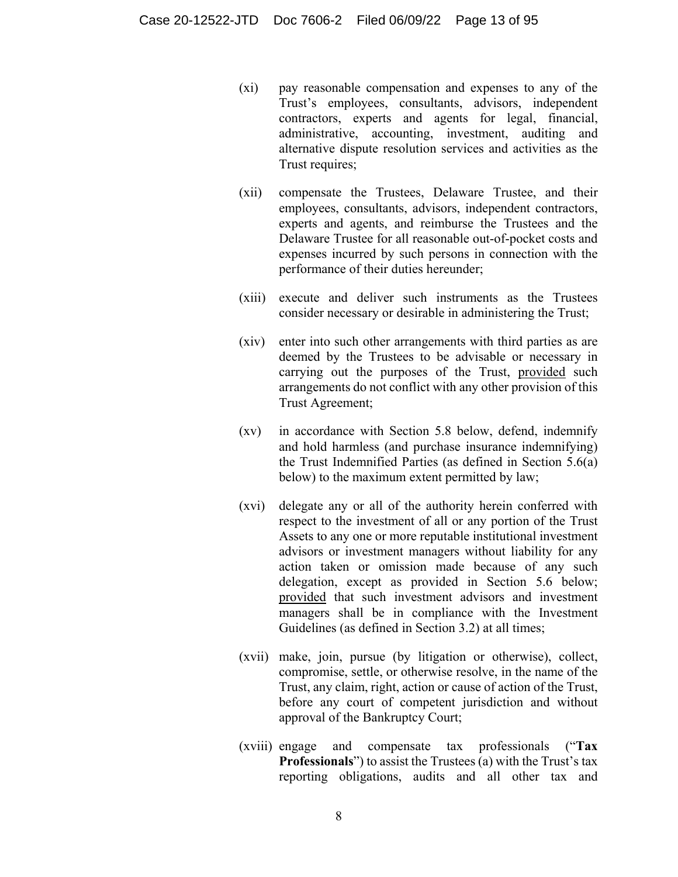- (xi) pay reasonable compensation and expenses to any of the Trust's employees, consultants, advisors, independent contractors, experts and agents for legal, financial, administrative, accounting, investment, auditing and alternative dispute resolution services and activities as the Trust requires;
- (xii) compensate the Trustees, Delaware Trustee, and their employees, consultants, advisors, independent contractors, experts and agents, and reimburse the Trustees and the Delaware Trustee for all reasonable out-of-pocket costs and expenses incurred by such persons in connection with the performance of their duties hereunder;
- (xiii) execute and deliver such instruments as the Trustees consider necessary or desirable in administering the Trust;
- (xiv) enter into such other arrangements with third parties as are deemed by the Trustees to be advisable or necessary in carrying out the purposes of the Trust, provided such arrangements do not conflict with any other provision of this Trust Agreement;
- (xv) in accordance with Section 5.8 below, defend, indemnify and hold harmless (and purchase insurance indemnifying) the Trust Indemnified Parties (as defined in Section 5.6(a) below) to the maximum extent permitted by law;
- (xvi) delegate any or all of the authority herein conferred with respect to the investment of all or any portion of the Trust Assets to any one or more reputable institutional investment advisors or investment managers without liability for any action taken or omission made because of any such delegation, except as provided in Section 5.6 below; provided that such investment advisors and investment managers shall be in compliance with the Investment Guidelines (as defined in Section 3.2) at all times;
- (xvii) make, join, pursue (by litigation or otherwise), collect, compromise, settle, or otherwise resolve, in the name of the Trust, any claim, right, action or cause of action of the Trust, before any court of competent jurisdiction and without approval of the Bankruptcy Court;
- (xviii) engage and compensate tax professionals ("**Tax Professionals**") to assist the Trustees (a) with the Trust's tax reporting obligations, audits and all other tax and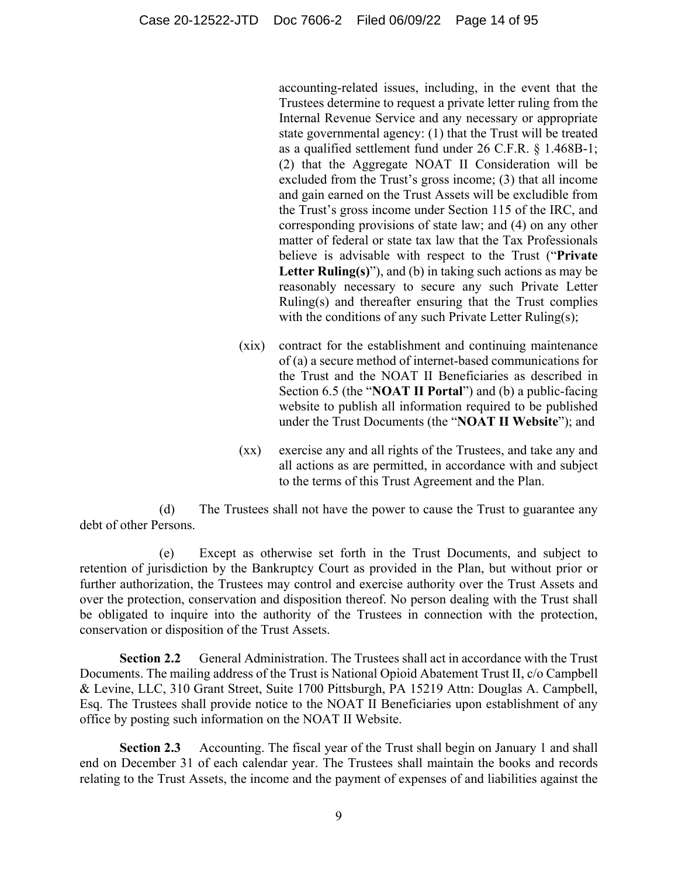accounting-related issues, including, in the event that the Trustees determine to request a private letter ruling from the Internal Revenue Service and any necessary or appropriate state governmental agency: (1) that the Trust will be treated as a qualified settlement fund under 26 C.F.R. § 1.468B-1; (2) that the Aggregate NOAT II Consideration will be excluded from the Trust's gross income; (3) that all income and gain earned on the Trust Assets will be excludible from the Trust's gross income under Section 115 of the IRC, and corresponding provisions of state law; and (4) on any other matter of federal or state tax law that the Tax Professionals believe is advisable with respect to the Trust ("**Private**  Letter Ruling(s)"), and (b) in taking such actions as may be reasonably necessary to secure any such Private Letter Ruling(s) and thereafter ensuring that the Trust complies with the conditions of any such Private Letter Ruling(s);

- (xix) contract for the establishment and continuing maintenance of (a) a secure method of internet-based communications for the Trust and the NOAT II Beneficiaries as described in Section 6.5 (the "**NOAT II Portal**") and (b) a public-facing website to publish all information required to be published under the Trust Documents (the "**NOAT II Website**"); and
- (xx) exercise any and all rights of the Trustees, and take any and all actions as are permitted, in accordance with and subject to the terms of this Trust Agreement and the Plan.

(d) The Trustees shall not have the power to cause the Trust to guarantee any debt of other Persons.

(e) Except as otherwise set forth in the Trust Documents, and subject to retention of jurisdiction by the Bankruptcy Court as provided in the Plan, but without prior or further authorization, the Trustees may control and exercise authority over the Trust Assets and over the protection, conservation and disposition thereof. No person dealing with the Trust shall be obligated to inquire into the authority of the Trustees in connection with the protection, conservation or disposition of the Trust Assets.

**Section 2.2** General Administration. The Trustees shall act in accordance with the Trust Documents. The mailing address of the Trust is National Opioid Abatement Trust II, c/o Campbell & Levine, LLC, 310 Grant Street, Suite 1700 Pittsburgh, PA 15219 Attn: Douglas A. Campbell, Esq. The Trustees shall provide notice to the NOAT II Beneficiaries upon establishment of any office by posting such information on the NOAT II Website.

**Section 2.3** Accounting. The fiscal year of the Trust shall begin on January 1 and shall end on December 31 of each calendar year. The Trustees shall maintain the books and records relating to the Trust Assets, the income and the payment of expenses of and liabilities against the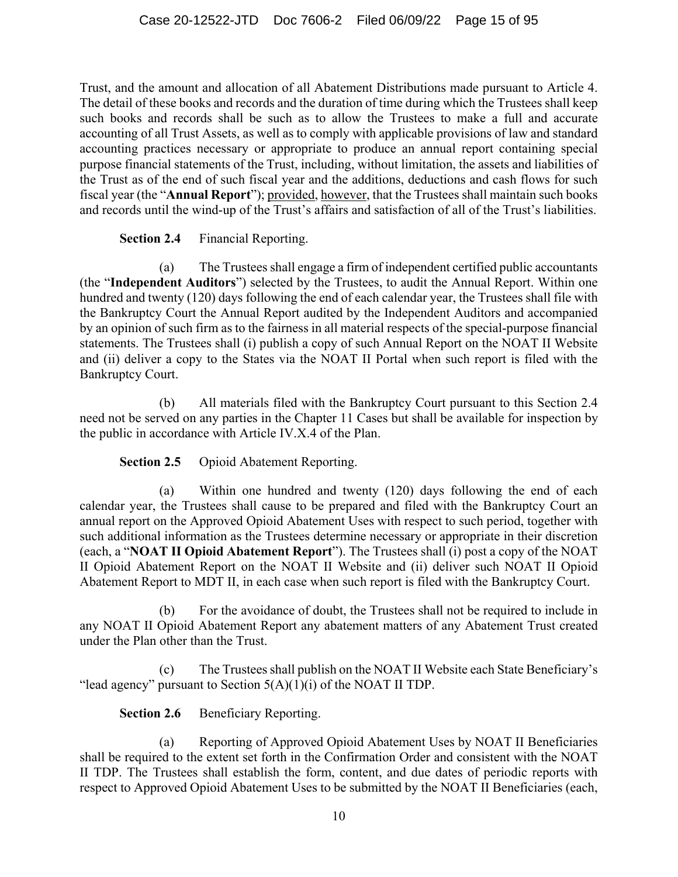Trust, and the amount and allocation of all Abatement Distributions made pursuant to Article 4. The detail of these books and records and the duration of time during which the Trustees shall keep such books and records shall be such as to allow the Trustees to make a full and accurate accounting of all Trust Assets, as well as to comply with applicable provisions of law and standard accounting practices necessary or appropriate to produce an annual report containing special purpose financial statements of the Trust, including, without limitation, the assets and liabilities of the Trust as of the end of such fiscal year and the additions, deductions and cash flows for such fiscal year (the "**Annual Report**"); provided, however, that the Trustees shall maintain such books and records until the wind-up of the Trust's affairs and satisfaction of all of the Trust's liabilities.

**Section 2.4** Financial Reporting.

(a) The Trustees shall engage a firm of independent certified public accountants (the "**Independent Auditors**") selected by the Trustees, to audit the Annual Report. Within one hundred and twenty (120) days following the end of each calendar year, the Trustees shall file with the Bankruptcy Court the Annual Report audited by the Independent Auditors and accompanied by an opinion of such firm as to the fairness in all material respects of the special-purpose financial statements. The Trustees shall (i) publish a copy of such Annual Report on the NOAT II Website and (ii) deliver a copy to the States via the NOAT II Portal when such report is filed with the Bankruptcy Court.

(b) All materials filed with the Bankruptcy Court pursuant to this Section 2.4 need not be served on any parties in the Chapter 11 Cases but shall be available for inspection by the public in accordance with Article IV.X.4 of the Plan.

**Section 2.5** Opioid Abatement Reporting.

(a) Within one hundred and twenty (120) days following the end of each calendar year, the Trustees shall cause to be prepared and filed with the Bankruptcy Court an annual report on the Approved Opioid Abatement Uses with respect to such period, together with such additional information as the Trustees determine necessary or appropriate in their discretion (each, a "**NOAT II Opioid Abatement Report**"). The Trustees shall (i) post a copy of the NOAT II Opioid Abatement Report on the NOAT II Website and (ii) deliver such NOAT II Opioid Abatement Report to MDT II, in each case when such report is filed with the Bankruptcy Court.

(b) For the avoidance of doubt, the Trustees shall not be required to include in any NOAT II Opioid Abatement Report any abatement matters of any Abatement Trust created under the Plan other than the Trust.

(c) The Trustees shall publish on the NOAT II Website each State Beneficiary's "lead agency" pursuant to Section  $5(A)(1)(i)$  of the NOAT II TDP.

**Section 2.6** Beneficiary Reporting.

(a) Reporting of Approved Opioid Abatement Uses by NOAT II Beneficiaries shall be required to the extent set forth in the Confirmation Order and consistent with the NOAT II TDP. The Trustees shall establish the form, content, and due dates of periodic reports with respect to Approved Opioid Abatement Uses to be submitted by the NOAT II Beneficiaries (each,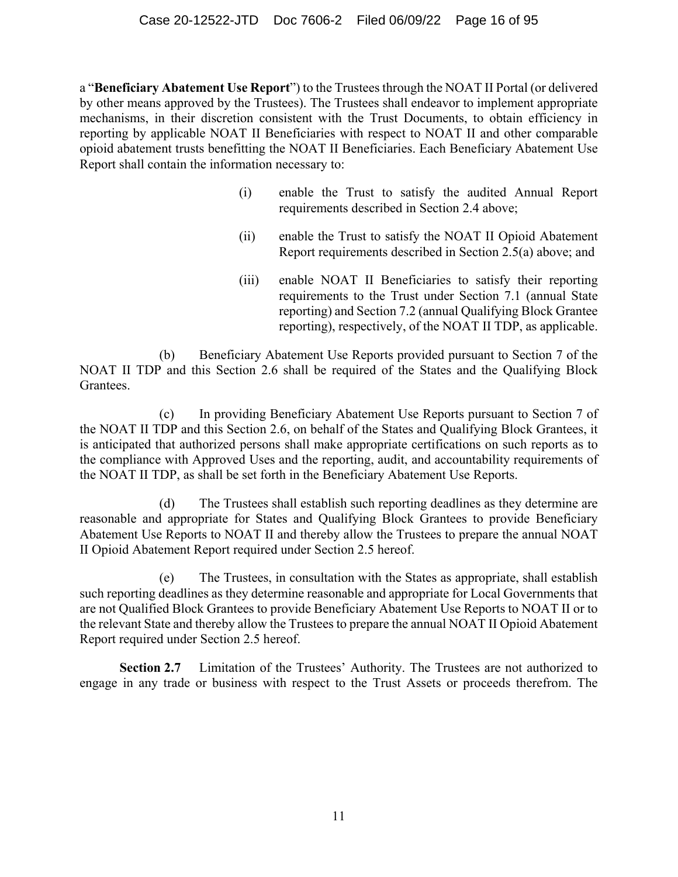a "**Beneficiary Abatement Use Report**") to the Trustees through the NOAT II Portal (or delivered by other means approved by the Trustees). The Trustees shall endeavor to implement appropriate mechanisms, in their discretion consistent with the Trust Documents, to obtain efficiency in reporting by applicable NOAT II Beneficiaries with respect to NOAT II and other comparable opioid abatement trusts benefitting the NOAT II Beneficiaries. Each Beneficiary Abatement Use Report shall contain the information necessary to:

- (i) enable the Trust to satisfy the audited Annual Report requirements described in Section 2.4 above;
- (ii) enable the Trust to satisfy the NOAT II Opioid Abatement Report requirements described in Section 2.5(a) above; and
- (iii) enable NOAT II Beneficiaries to satisfy their reporting requirements to the Trust under Section 7.1 (annual State reporting) and Section 7.2 (annual Qualifying Block Grantee reporting), respectively, of the NOAT II TDP, as applicable.

(b) Beneficiary Abatement Use Reports provided pursuant to Section 7 of the NOAT II TDP and this Section 2.6 shall be required of the States and the Qualifying Block Grantees.

(c) In providing Beneficiary Abatement Use Reports pursuant to Section 7 of the NOAT II TDP and this Section 2.6, on behalf of the States and Qualifying Block Grantees, it is anticipated that authorized persons shall make appropriate certifications on such reports as to the compliance with Approved Uses and the reporting, audit, and accountability requirements of the NOAT II TDP, as shall be set forth in the Beneficiary Abatement Use Reports.

(d) The Trustees shall establish such reporting deadlines as they determine are reasonable and appropriate for States and Qualifying Block Grantees to provide Beneficiary Abatement Use Reports to NOAT II and thereby allow the Trustees to prepare the annual NOAT II Opioid Abatement Report required under Section 2.5 hereof.

(e) The Trustees, in consultation with the States as appropriate, shall establish such reporting deadlines as they determine reasonable and appropriate for Local Governments that are not Qualified Block Grantees to provide Beneficiary Abatement Use Reports to NOAT II or to the relevant State and thereby allow the Trustees to prepare the annual NOAT II Opioid Abatement Report required under Section 2.5 hereof.

**Section 2.7** Limitation of the Trustees' Authority. The Trustees are not authorized to engage in any trade or business with respect to the Trust Assets or proceeds therefrom. The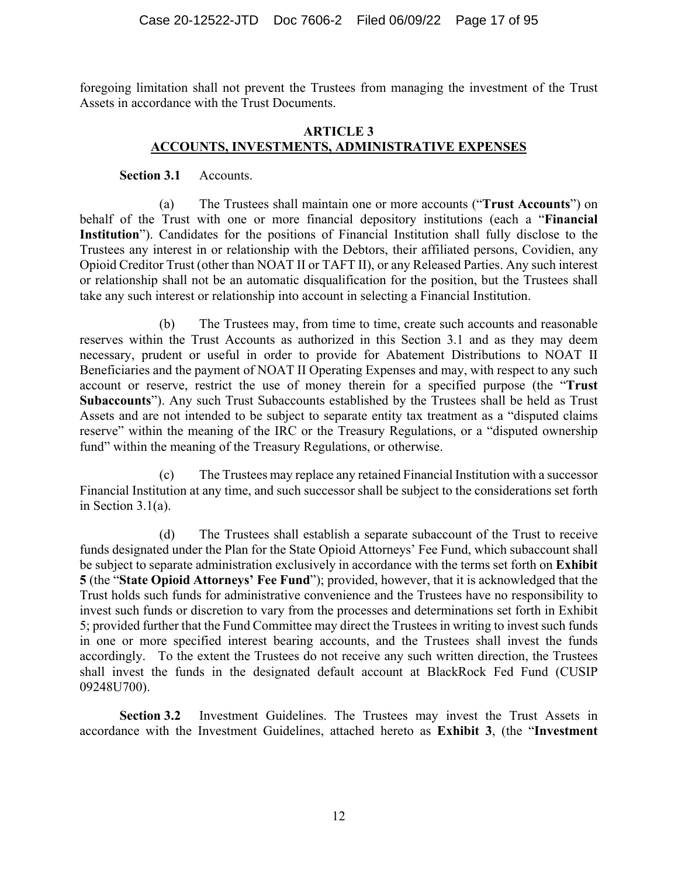foregoing limitation shall not prevent the Trustees from managing the investment of the Trust Assets in accordance with the Trust Documents.

#### **ARTICLE 3 ACCOUNTS, INVESTMENTS, ADMINISTRATIVE EXPENSES**

#### **Section 3.1** Accounts.

(a) The Trustees shall maintain one or more accounts ("**Trust Accounts**") on behalf of the Trust with one or more financial depository institutions (each a "**Financial Institution**"). Candidates for the positions of Financial Institution shall fully disclose to the Trustees any interest in or relationship with the Debtors, their affiliated persons, Covidien, any Opioid Creditor Trust (other than NOAT II or TAFT II), or any Released Parties. Any such interest or relationship shall not be an automatic disqualification for the position, but the Trustees shall take any such interest or relationship into account in selecting a Financial Institution.

(b) The Trustees may, from time to time, create such accounts and reasonable reserves within the Trust Accounts as authorized in this Section 3.1 and as they may deem necessary, prudent or useful in order to provide for Abatement Distributions to NOAT II Beneficiaries and the payment of NOAT II Operating Expenses and may, with respect to any such account or reserve, restrict the use of money therein for a specified purpose (the "**Trust Subaccounts**"). Any such Trust Subaccounts established by the Trustees shall be held as Trust Assets and are not intended to be subject to separate entity tax treatment as a "disputed claims reserve" within the meaning of the IRC or the Treasury Regulations, or a "disputed ownership fund" within the meaning of the Treasury Regulations, or otherwise.

(c) The Trustees may replace any retained Financial Institution with a successor Financial Institution at any time, and such successor shall be subject to the considerations set forth in Section 3.1(a).

(d) The Trustees shall establish a separate subaccount of the Trust to receive funds designated under the Plan for the State Opioid Attorneys' Fee Fund, which subaccount shall be subject to separate administration exclusively in accordance with the terms set forth on **Exhibit 5** (the "**State Opioid Attorneys' Fee Fund**"); provided, however, that it is acknowledged that the Trust holds such funds for administrative convenience and the Trustees have no responsibility to invest such funds or discretion to vary from the processes and determinations set forth in Exhibit 5; provided further that the Fund Committee may direct the Trustees in writing to invest such funds in one or more specified interest bearing accounts, and the Trustees shall invest the funds accordingly. To the extent the Trustees do not receive any such written direction, the Trustees shall invest the funds in the designated default account at BlackRock Fed Fund (CUSIP 09248U700).

**Section 3.2** Investment Guidelines. The Trustees may invest the Trust Assets in accordance with the Investment Guidelines, attached hereto as **Exhibit 3**, (the "**Investment**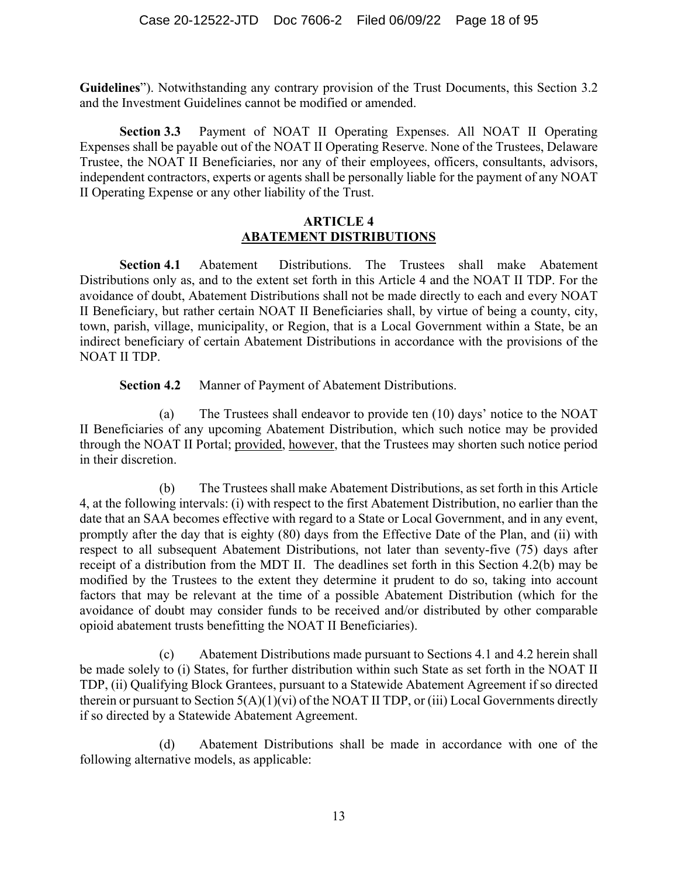**Guidelines**"). Notwithstanding any contrary provision of the Trust Documents, this Section 3.2 and the Investment Guidelines cannot be modified or amended.

**Section 3.3** Payment of NOAT II Operating Expenses. All NOAT II Operating Expenses shall be payable out of the NOAT II Operating Reserve. None of the Trustees, Delaware Trustee, the NOAT II Beneficiaries, nor any of their employees, officers, consultants, advisors, independent contractors, experts or agents shall be personally liable for the payment of any NOAT II Operating Expense or any other liability of the Trust.

#### **ARTICLE 4 ABATEMENT DISTRIBUTIONS**

**Section 4.1** Abatement Distributions. The Trustees shall make Abatement Distributions only as, and to the extent set forth in this Article 4 and the NOAT II TDP. For the avoidance of doubt, Abatement Distributions shall not be made directly to each and every NOAT II Beneficiary, but rather certain NOAT II Beneficiaries shall, by virtue of being a county, city, town, parish, village, municipality, or Region, that is a Local Government within a State, be an indirect beneficiary of certain Abatement Distributions in accordance with the provisions of the NOAT II TDP.

**Section 4.2** Manner of Payment of Abatement Distributions.

(a) The Trustees shall endeavor to provide ten (10) days' notice to the NOAT II Beneficiaries of any upcoming Abatement Distribution, which such notice may be provided through the NOAT II Portal; provided, however, that the Trustees may shorten such notice period in their discretion.

(b) The Trustees shall make Abatement Distributions, as set forth in this Article 4, at the following intervals: (i) with respect to the first Abatement Distribution, no earlier than the date that an SAA becomes effective with regard to a State or Local Government, and in any event, promptly after the day that is eighty (80) days from the Effective Date of the Plan, and (ii) with respect to all subsequent Abatement Distributions, not later than seventy-five (75) days after receipt of a distribution from the MDT II. The deadlines set forth in this Section 4.2(b) may be modified by the Trustees to the extent they determine it prudent to do so, taking into account factors that may be relevant at the time of a possible Abatement Distribution (which for the avoidance of doubt may consider funds to be received and/or distributed by other comparable opioid abatement trusts benefitting the NOAT II Beneficiaries).

(c) Abatement Distributions made pursuant to Sections 4.1 and 4.2 herein shall be made solely to (i) States, for further distribution within such State as set forth in the NOAT II TDP, (ii) Qualifying Block Grantees, pursuant to a Statewide Abatement Agreement if so directed therein or pursuant to Section  $5(A)(1)(vi)$  of the NOAT II TDP, or (iii) Local Governments directly if so directed by a Statewide Abatement Agreement.

(d) Abatement Distributions shall be made in accordance with one of the following alternative models, as applicable: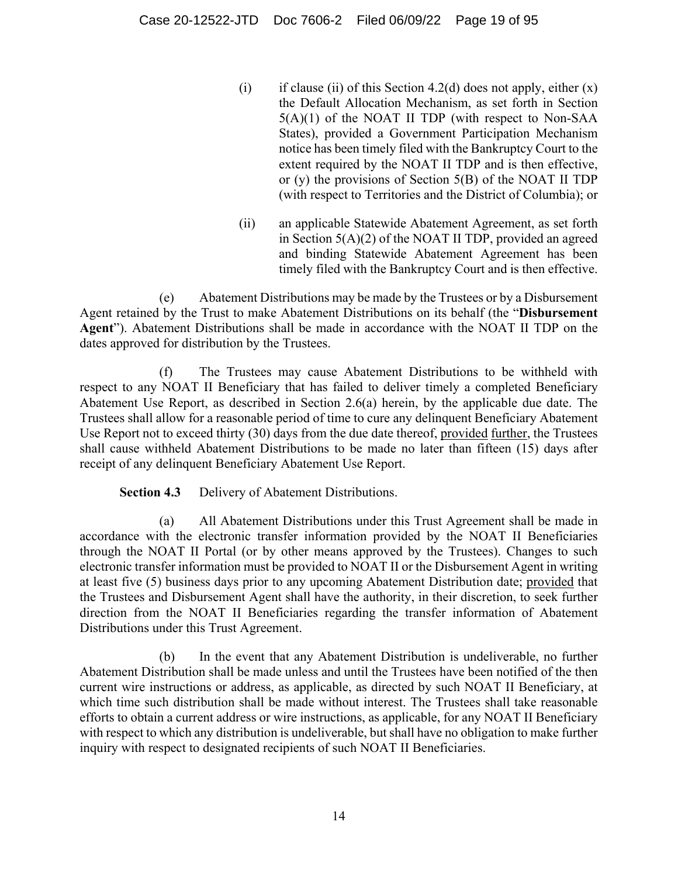- (i) if clause (ii) of this Section 4.2(d) does not apply, either  $(x)$ the Default Allocation Mechanism, as set forth in Section 5(A)(1) of the NOAT II TDP (with respect to Non-SAA States), provided a Government Participation Mechanism notice has been timely filed with the Bankruptcy Court to the extent required by the NOAT II TDP and is then effective, or (y) the provisions of Section 5(B) of the NOAT II TDP (with respect to Territories and the District of Columbia); or
- (ii) an applicable Statewide Abatement Agreement, as set forth in Section 5(A)(2) of the NOAT II TDP, provided an agreed and binding Statewide Abatement Agreement has been timely filed with the Bankruptcy Court and is then effective.

(e) Abatement Distributions may be made by the Trustees or by a Disbursement Agent retained by the Trust to make Abatement Distributions on its behalf (the "**Disbursement Agent**"). Abatement Distributions shall be made in accordance with the NOAT II TDP on the dates approved for distribution by the Trustees.

(f) The Trustees may cause Abatement Distributions to be withheld with respect to any NOAT II Beneficiary that has failed to deliver timely a completed Beneficiary Abatement Use Report, as described in Section 2.6(a) herein, by the applicable due date. The Trustees shall allow for a reasonable period of time to cure any delinquent Beneficiary Abatement Use Report not to exceed thirty (30) days from the due date thereof, provided further, the Trustees shall cause withheld Abatement Distributions to be made no later than fifteen (15) days after receipt of any delinquent Beneficiary Abatement Use Report.

**Section 4.3** Delivery of Abatement Distributions.

(a) All Abatement Distributions under this Trust Agreement shall be made in accordance with the electronic transfer information provided by the NOAT II Beneficiaries through the NOAT II Portal (or by other means approved by the Trustees). Changes to such electronic transfer information must be provided to NOAT II or the Disbursement Agent in writing at least five (5) business days prior to any upcoming Abatement Distribution date; provided that the Trustees and Disbursement Agent shall have the authority, in their discretion, to seek further direction from the NOAT II Beneficiaries regarding the transfer information of Abatement Distributions under this Trust Agreement.

(b) In the event that any Abatement Distribution is undeliverable, no further Abatement Distribution shall be made unless and until the Trustees have been notified of the then current wire instructions or address, as applicable, as directed by such NOAT II Beneficiary, at which time such distribution shall be made without interest. The Trustees shall take reasonable efforts to obtain a current address or wire instructions, as applicable, for any NOAT II Beneficiary with respect to which any distribution is undeliverable, but shall have no obligation to make further inquiry with respect to designated recipients of such NOAT II Beneficiaries.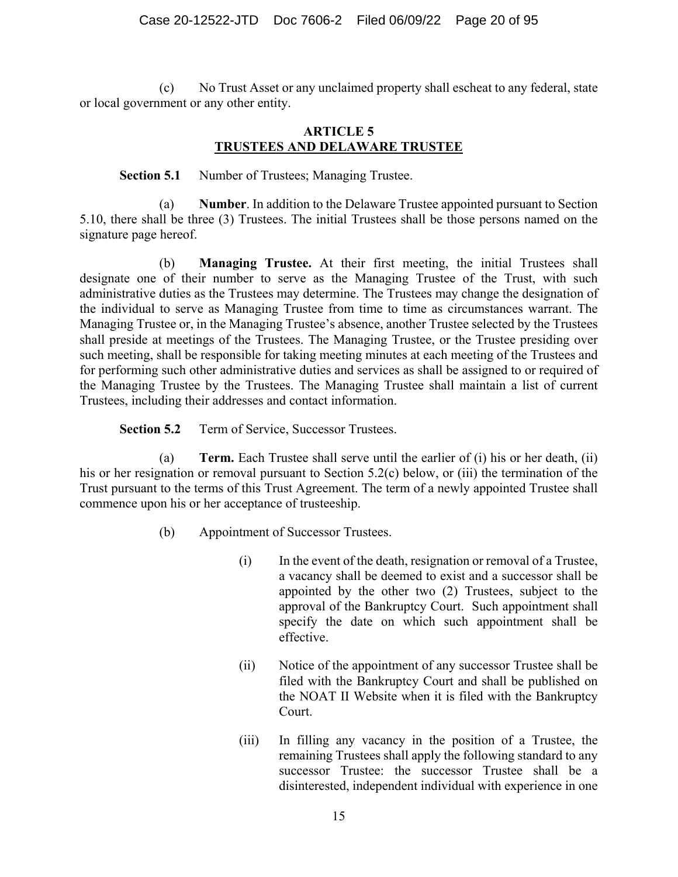(c) No Trust Asset or any unclaimed property shall escheat to any federal, state or local government or any other entity.

#### **ARTICLE 5 TRUSTEES AND DELAWARE TRUSTEE**

#### **Section 5.1** Number of Trustees; Managing Trustee.

(a) **Number**. In addition to the Delaware Trustee appointed pursuant to Section 5.10, there shall be three (3) Trustees. The initial Trustees shall be those persons named on the signature page hereof.

(b) **Managing Trustee.** At their first meeting, the initial Trustees shall designate one of their number to serve as the Managing Trustee of the Trust, with such administrative duties as the Trustees may determine. The Trustees may change the designation of the individual to serve as Managing Trustee from time to time as circumstances warrant. The Managing Trustee or, in the Managing Trustee's absence, another Trustee selected by the Trustees shall preside at meetings of the Trustees. The Managing Trustee, or the Trustee presiding over such meeting, shall be responsible for taking meeting minutes at each meeting of the Trustees and for performing such other administrative duties and services as shall be assigned to or required of the Managing Trustee by the Trustees. The Managing Trustee shall maintain a list of current Trustees, including their addresses and contact information.

**Section 5.2** Term of Service, Successor Trustees.

(a) **Term.** Each Trustee shall serve until the earlier of (i) his or her death, (ii) his or her resignation or removal pursuant to Section 5.2(c) below, or (iii) the termination of the Trust pursuant to the terms of this Trust Agreement. The term of a newly appointed Trustee shall commence upon his or her acceptance of trusteeship.

- (b) Appointment of Successor Trustees.
	- (i) In the event of the death, resignation or removal of a Trustee, a vacancy shall be deemed to exist and a successor shall be appointed by the other two (2) Trustees, subject to the approval of the Bankruptcy Court. Such appointment shall specify the date on which such appointment shall be effective.
	- (ii) Notice of the appointment of any successor Trustee shall be filed with the Bankruptcy Court and shall be published on the NOAT II Website when it is filed with the Bankruptcy Court.
	- (iii) In filling any vacancy in the position of a Trustee, the remaining Trustees shall apply the following standard to any successor Trustee: the successor Trustee shall be a disinterested, independent individual with experience in one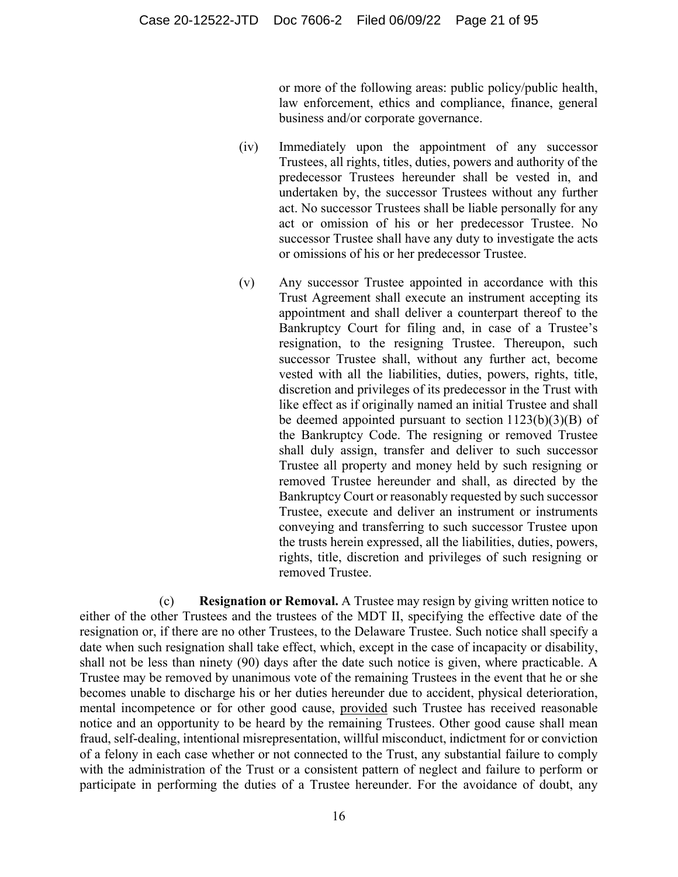or more of the following areas: public policy/public health, law enforcement, ethics and compliance, finance, general business and/or corporate governance.

- (iv) Immediately upon the appointment of any successor Trustees, all rights, titles, duties, powers and authority of the predecessor Trustees hereunder shall be vested in, and undertaken by, the successor Trustees without any further act. No successor Trustees shall be liable personally for any act or omission of his or her predecessor Trustee. No successor Trustee shall have any duty to investigate the acts or omissions of his or her predecessor Trustee.
- (v) Any successor Trustee appointed in accordance with this Trust Agreement shall execute an instrument accepting its appointment and shall deliver a counterpart thereof to the Bankruptcy Court for filing and, in case of a Trustee's resignation, to the resigning Trustee. Thereupon, such successor Trustee shall, without any further act, become vested with all the liabilities, duties, powers, rights, title, discretion and privileges of its predecessor in the Trust with like effect as if originally named an initial Trustee and shall be deemed appointed pursuant to section  $1123(b)(3)(B)$  of the Bankruptcy Code. The resigning or removed Trustee shall duly assign, transfer and deliver to such successor Trustee all property and money held by such resigning or removed Trustee hereunder and shall, as directed by the Bankruptcy Court or reasonably requested by such successor Trustee, execute and deliver an instrument or instruments conveying and transferring to such successor Trustee upon the trusts herein expressed, all the liabilities, duties, powers, rights, title, discretion and privileges of such resigning or removed Trustee.

(c) **Resignation or Removal.** A Trustee may resign by giving written notice to either of the other Trustees and the trustees of the MDT II, specifying the effective date of the resignation or, if there are no other Trustees, to the Delaware Trustee. Such notice shall specify a date when such resignation shall take effect, which, except in the case of incapacity or disability, shall not be less than ninety (90) days after the date such notice is given, where practicable. A Trustee may be removed by unanimous vote of the remaining Trustees in the event that he or she becomes unable to discharge his or her duties hereunder due to accident, physical deterioration, mental incompetence or for other good cause, provided such Trustee has received reasonable notice and an opportunity to be heard by the remaining Trustees. Other good cause shall mean fraud, self-dealing, intentional misrepresentation, willful misconduct, indictment for or conviction of a felony in each case whether or not connected to the Trust, any substantial failure to comply with the administration of the Trust or a consistent pattern of neglect and failure to perform or participate in performing the duties of a Trustee hereunder. For the avoidance of doubt, any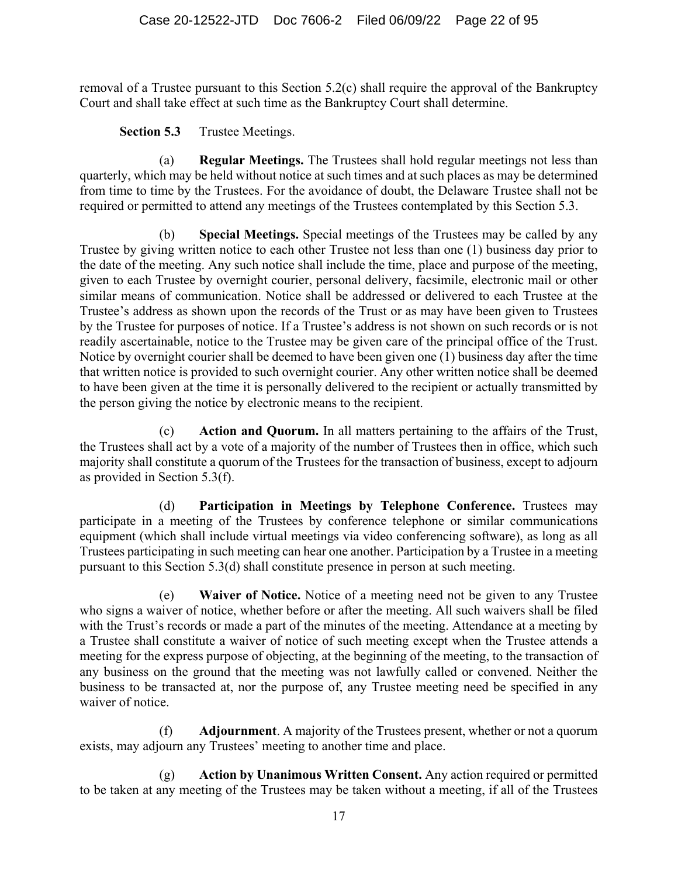removal of a Trustee pursuant to this Section 5.2(c) shall require the approval of the Bankruptcy Court and shall take effect at such time as the Bankruptcy Court shall determine.

**Section 5.3** Trustee Meetings.

(a) **Regular Meetings.** The Trustees shall hold regular meetings not less than quarterly, which may be held without notice at such times and at such places as may be determined from time to time by the Trustees. For the avoidance of doubt, the Delaware Trustee shall not be required or permitted to attend any meetings of the Trustees contemplated by this Section 5.3.

(b) **Special Meetings.** Special meetings of the Trustees may be called by any Trustee by giving written notice to each other Trustee not less than one (1) business day prior to the date of the meeting. Any such notice shall include the time, place and purpose of the meeting, given to each Trustee by overnight courier, personal delivery, facsimile, electronic mail or other similar means of communication. Notice shall be addressed or delivered to each Trustee at the Trustee's address as shown upon the records of the Trust or as may have been given to Trustees by the Trustee for purposes of notice. If a Trustee's address is not shown on such records or is not readily ascertainable, notice to the Trustee may be given care of the principal office of the Trust. Notice by overnight courier shall be deemed to have been given one (1) business day after the time that written notice is provided to such overnight courier. Any other written notice shall be deemed to have been given at the time it is personally delivered to the recipient or actually transmitted by the person giving the notice by electronic means to the recipient.

(c) **Action and Quorum.** In all matters pertaining to the affairs of the Trust, the Trustees shall act by a vote of a majority of the number of Trustees then in office, which such majority shall constitute a quorum of the Trustees for the transaction of business, except to adjourn as provided in Section 5.3(f).

(d) **Participation in Meetings by Telephone Conference.** Trustees may participate in a meeting of the Trustees by conference telephone or similar communications equipment (which shall include virtual meetings via video conferencing software), as long as all Trustees participating in such meeting can hear one another. Participation by a Trustee in a meeting pursuant to this Section 5.3(d) shall constitute presence in person at such meeting.

(e) **Waiver of Notice.** Notice of a meeting need not be given to any Trustee who signs a waiver of notice, whether before or after the meeting. All such waivers shall be filed with the Trust's records or made a part of the minutes of the meeting. Attendance at a meeting by a Trustee shall constitute a waiver of notice of such meeting except when the Trustee attends a meeting for the express purpose of objecting, at the beginning of the meeting, to the transaction of any business on the ground that the meeting was not lawfully called or convened. Neither the business to be transacted at, nor the purpose of, any Trustee meeting need be specified in any waiver of notice.

(f) **Adjournment**. A majority of the Trustees present, whether or not a quorum exists, may adjourn any Trustees' meeting to another time and place.

(g) **Action by Unanimous Written Consent.** Any action required or permitted to be taken at any meeting of the Trustees may be taken without a meeting, if all of the Trustees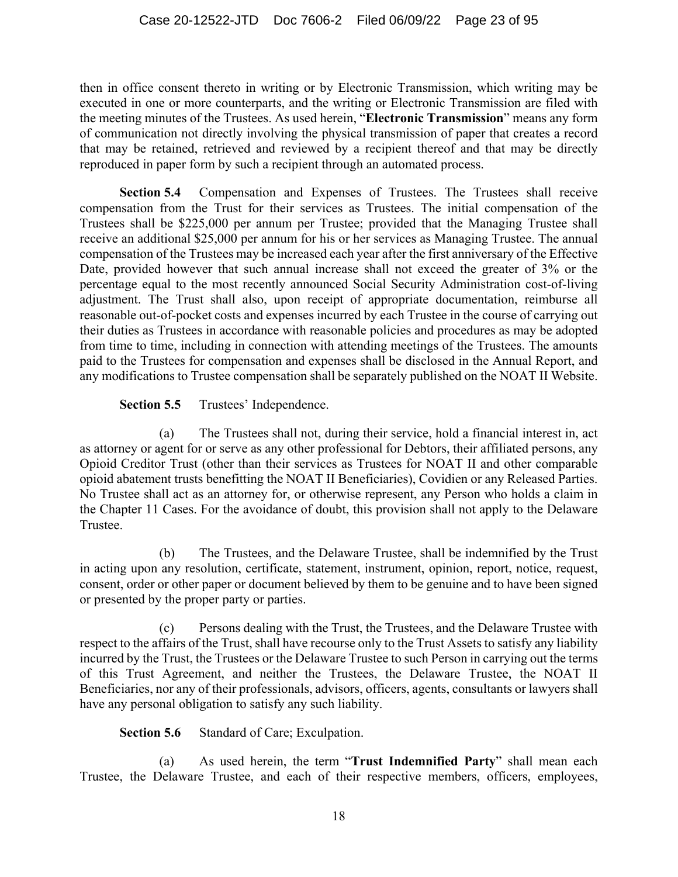then in office consent thereto in writing or by Electronic Transmission, which writing may be executed in one or more counterparts, and the writing or Electronic Transmission are filed with the meeting minutes of the Trustees. As used herein, "**Electronic Transmission**" means any form of communication not directly involving the physical transmission of paper that creates a record that may be retained, retrieved and reviewed by a recipient thereof and that may be directly reproduced in paper form by such a recipient through an automated process.

**Section 5.4** Compensation and Expenses of Trustees. The Trustees shall receive compensation from the Trust for their services as Trustees. The initial compensation of the Trustees shall be \$225,000 per annum per Trustee; provided that the Managing Trustee shall receive an additional \$25,000 per annum for his or her services as Managing Trustee. The annual compensation of the Trustees may be increased each year after the first anniversary of the Effective Date, provided however that such annual increase shall not exceed the greater of 3% or the percentage equal to the most recently announced Social Security Administration cost-of-living adjustment. The Trust shall also, upon receipt of appropriate documentation, reimburse all reasonable out-of-pocket costs and expenses incurred by each Trustee in the course of carrying out their duties as Trustees in accordance with reasonable policies and procedures as may be adopted from time to time, including in connection with attending meetings of the Trustees. The amounts paid to the Trustees for compensation and expenses shall be disclosed in the Annual Report, and any modifications to Trustee compensation shall be separately published on the NOAT II Website.

Section 5.5 Trustees' Independence.

(a) The Trustees shall not, during their service, hold a financial interest in, act as attorney or agent for or serve as any other professional for Debtors, their affiliated persons, any Opioid Creditor Trust (other than their services as Trustees for NOAT II and other comparable opioid abatement trusts benefitting the NOAT II Beneficiaries), Covidien or any Released Parties. No Trustee shall act as an attorney for, or otherwise represent, any Person who holds a claim in the Chapter 11 Cases. For the avoidance of doubt, this provision shall not apply to the Delaware Trustee.

(b) The Trustees, and the Delaware Trustee, shall be indemnified by the Trust in acting upon any resolution, certificate, statement, instrument, opinion, report, notice, request, consent, order or other paper or document believed by them to be genuine and to have been signed or presented by the proper party or parties.

(c) Persons dealing with the Trust, the Trustees, and the Delaware Trustee with respect to the affairs of the Trust, shall have recourse only to the Trust Assets to satisfy any liability incurred by the Trust, the Trustees or the Delaware Trustee to such Person in carrying out the terms of this Trust Agreement, and neither the Trustees, the Delaware Trustee, the NOAT II Beneficiaries, nor any of their professionals, advisors, officers, agents, consultants or lawyers shall have any personal obligation to satisfy any such liability.

**Section 5.6** Standard of Care; Exculpation.

(a) As used herein, the term "**Trust Indemnified Party**" shall mean each Trustee, the Delaware Trustee, and each of their respective members, officers, employees,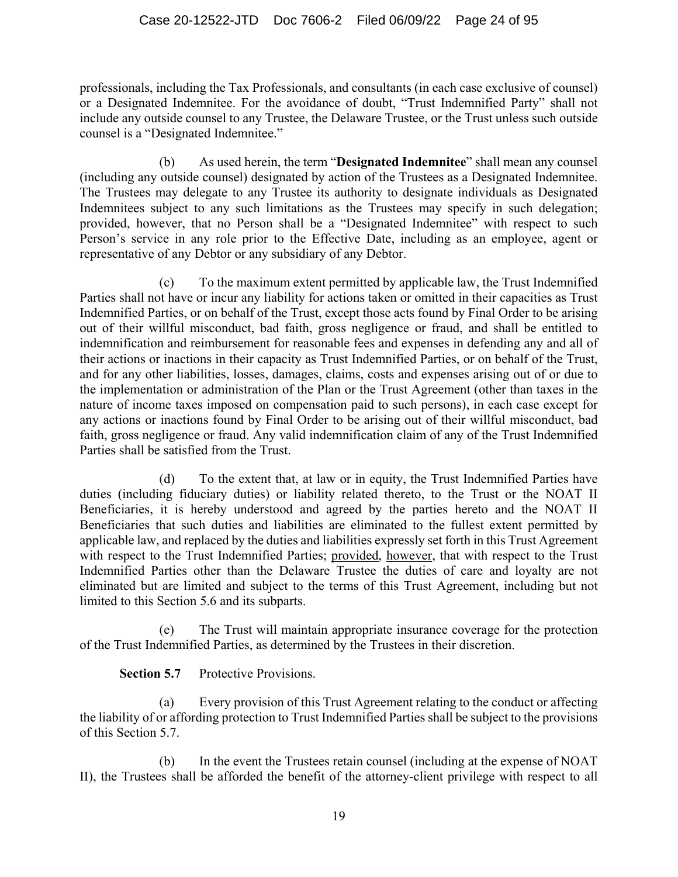professionals, including the Tax Professionals, and consultants (in each case exclusive of counsel) or a Designated Indemnitee. For the avoidance of doubt, "Trust Indemnified Party" shall not include any outside counsel to any Trustee, the Delaware Trustee, or the Trust unless such outside counsel is a "Designated Indemnitee."

(b) As used herein, the term "**Designated Indemnitee**" shall mean any counsel (including any outside counsel) designated by action of the Trustees as a Designated Indemnitee. The Trustees may delegate to any Trustee its authority to designate individuals as Designated Indemnitees subject to any such limitations as the Trustees may specify in such delegation; provided, however, that no Person shall be a "Designated Indemnitee" with respect to such Person's service in any role prior to the Effective Date, including as an employee, agent or representative of any Debtor or any subsidiary of any Debtor.

(c) To the maximum extent permitted by applicable law, the Trust Indemnified Parties shall not have or incur any liability for actions taken or omitted in their capacities as Trust Indemnified Parties, or on behalf of the Trust, except those acts found by Final Order to be arising out of their willful misconduct, bad faith, gross negligence or fraud, and shall be entitled to indemnification and reimbursement for reasonable fees and expenses in defending any and all of their actions or inactions in their capacity as Trust Indemnified Parties, or on behalf of the Trust, and for any other liabilities, losses, damages, claims, costs and expenses arising out of or due to the implementation or administration of the Plan or the Trust Agreement (other than taxes in the nature of income taxes imposed on compensation paid to such persons), in each case except for any actions or inactions found by Final Order to be arising out of their willful misconduct, bad faith, gross negligence or fraud. Any valid indemnification claim of any of the Trust Indemnified Parties shall be satisfied from the Trust.

(d) To the extent that, at law or in equity, the Trust Indemnified Parties have duties (including fiduciary duties) or liability related thereto, to the Trust or the NOAT II Beneficiaries, it is hereby understood and agreed by the parties hereto and the NOAT II Beneficiaries that such duties and liabilities are eliminated to the fullest extent permitted by applicable law, and replaced by the duties and liabilities expressly set forth in this Trust Agreement with respect to the Trust Indemnified Parties; provided, however, that with respect to the Trust Indemnified Parties other than the Delaware Trustee the duties of care and loyalty are not eliminated but are limited and subject to the terms of this Trust Agreement, including but not limited to this Section 5.6 and its subparts.

(e) The Trust will maintain appropriate insurance coverage for the protection of the Trust Indemnified Parties, as determined by the Trustees in their discretion.

**Section 5.7** Protective Provisions.

(a) Every provision of this Trust Agreement relating to the conduct or affecting the liability of or affording protection to Trust Indemnified Parties shall be subject to the provisions of this Section 5.7.

(b) In the event the Trustees retain counsel (including at the expense of NOAT II), the Trustees shall be afforded the benefit of the attorney-client privilege with respect to all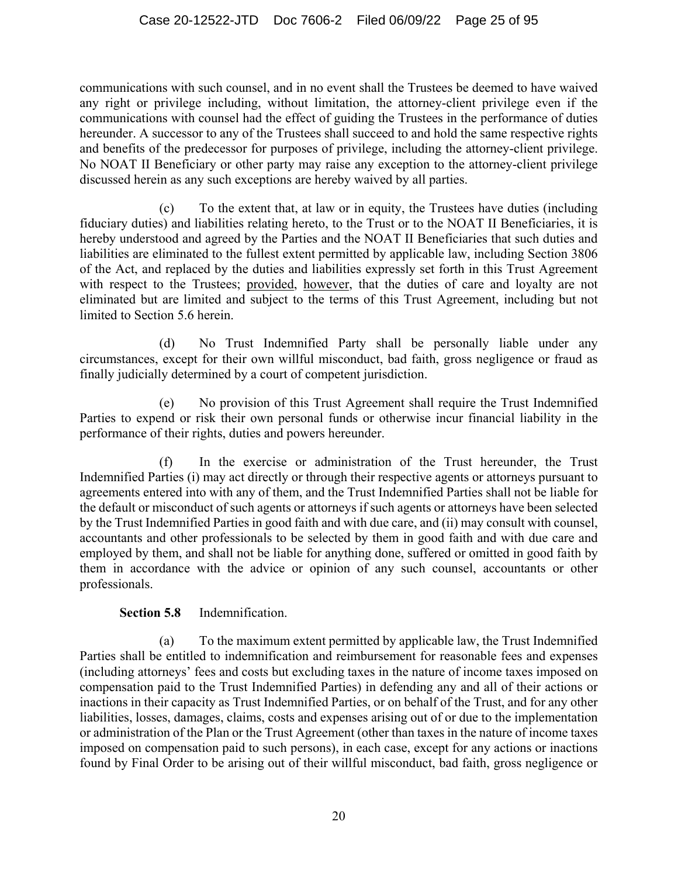communications with such counsel, and in no event shall the Trustees be deemed to have waived any right or privilege including, without limitation, the attorney-client privilege even if the communications with counsel had the effect of guiding the Trustees in the performance of duties hereunder. A successor to any of the Trustees shall succeed to and hold the same respective rights and benefits of the predecessor for purposes of privilege, including the attorney-client privilege. No NOAT II Beneficiary or other party may raise any exception to the attorney-client privilege discussed herein as any such exceptions are hereby waived by all parties.

(c) To the extent that, at law or in equity, the Trustees have duties (including fiduciary duties) and liabilities relating hereto, to the Trust or to the NOAT II Beneficiaries, it is hereby understood and agreed by the Parties and the NOAT II Beneficiaries that such duties and liabilities are eliminated to the fullest extent permitted by applicable law, including Section 3806 of the Act, and replaced by the duties and liabilities expressly set forth in this Trust Agreement with respect to the Trustees; provided, however, that the duties of care and loyalty are not eliminated but are limited and subject to the terms of this Trust Agreement, including but not limited to Section 5.6 herein.

(d) No Trust Indemnified Party shall be personally liable under any circumstances, except for their own willful misconduct, bad faith, gross negligence or fraud as finally judicially determined by a court of competent jurisdiction.

(e) No provision of this Trust Agreement shall require the Trust Indemnified Parties to expend or risk their own personal funds or otherwise incur financial liability in the performance of their rights, duties and powers hereunder.

(f) In the exercise or administration of the Trust hereunder, the Trust Indemnified Parties (i) may act directly or through their respective agents or attorneys pursuant to agreements entered into with any of them, and the Trust Indemnified Parties shall not be liable for the default or misconduct of such agents or attorneys if such agents or attorneys have been selected by the Trust Indemnified Parties in good faith and with due care, and (ii) may consult with counsel, accountants and other professionals to be selected by them in good faith and with due care and employed by them, and shall not be liable for anything done, suffered or omitted in good faith by them in accordance with the advice or opinion of any such counsel, accountants or other professionals.

#### **Section 5.8** Indemnification.

(a) To the maximum extent permitted by applicable law, the Trust Indemnified Parties shall be entitled to indemnification and reimbursement for reasonable fees and expenses (including attorneys' fees and costs but excluding taxes in the nature of income taxes imposed on compensation paid to the Trust Indemnified Parties) in defending any and all of their actions or inactions in their capacity as Trust Indemnified Parties, or on behalf of the Trust, and for any other liabilities, losses, damages, claims, costs and expenses arising out of or due to the implementation or administration of the Plan or the Trust Agreement (other than taxes in the nature of income taxes imposed on compensation paid to such persons), in each case, except for any actions or inactions found by Final Order to be arising out of their willful misconduct, bad faith, gross negligence or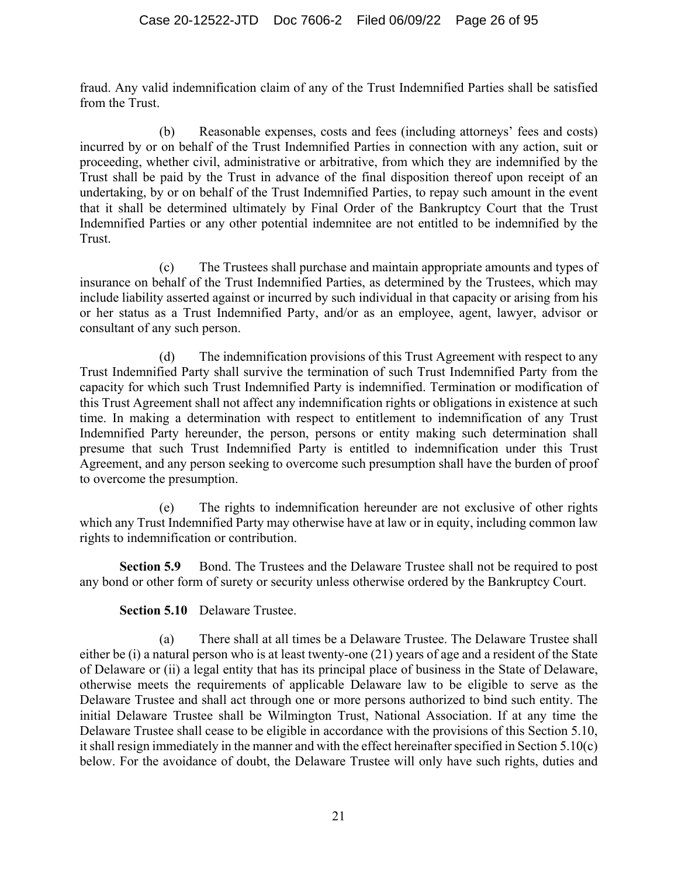fraud. Any valid indemnification claim of any of the Trust Indemnified Parties shall be satisfied from the Trust.

(b) Reasonable expenses, costs and fees (including attorneys' fees and costs) incurred by or on behalf of the Trust Indemnified Parties in connection with any action, suit or proceeding, whether civil, administrative or arbitrative, from which they are indemnified by the Trust shall be paid by the Trust in advance of the final disposition thereof upon receipt of an undertaking, by or on behalf of the Trust Indemnified Parties, to repay such amount in the event that it shall be determined ultimately by Final Order of the Bankruptcy Court that the Trust Indemnified Parties or any other potential indemnitee are not entitled to be indemnified by the Trust.

(c) The Trustees shall purchase and maintain appropriate amounts and types of insurance on behalf of the Trust Indemnified Parties, as determined by the Trustees, which may include liability asserted against or incurred by such individual in that capacity or arising from his or her status as a Trust Indemnified Party, and/or as an employee, agent, lawyer, advisor or consultant of any such person.

(d) The indemnification provisions of this Trust Agreement with respect to any Trust Indemnified Party shall survive the termination of such Trust Indemnified Party from the capacity for which such Trust Indemnified Party is indemnified. Termination or modification of this Trust Agreement shall not affect any indemnification rights or obligations in existence at such time. In making a determination with respect to entitlement to indemnification of any Trust Indemnified Party hereunder, the person, persons or entity making such determination shall presume that such Trust Indemnified Party is entitled to indemnification under this Trust Agreement, and any person seeking to overcome such presumption shall have the burden of proof to overcome the presumption.

(e) The rights to indemnification hereunder are not exclusive of other rights which any Trust Indemnified Party may otherwise have at law or in equity, including common law rights to indemnification or contribution.

**Section 5.9** Bond. The Trustees and the Delaware Trustee shall not be required to post any bond or other form of surety or security unless otherwise ordered by the Bankruptcy Court.

**Section 5.10** Delaware Trustee.

(a) There shall at all times be a Delaware Trustee. The Delaware Trustee shall either be (i) a natural person who is at least twenty-one (21) years of age and a resident of the State of Delaware or (ii) a legal entity that has its principal place of business in the State of Delaware, otherwise meets the requirements of applicable Delaware law to be eligible to serve as the Delaware Trustee and shall act through one or more persons authorized to bind such entity. The initial Delaware Trustee shall be Wilmington Trust, National Association. If at any time the Delaware Trustee shall cease to be eligible in accordance with the provisions of this Section 5.10, it shall resign immediately in the manner and with the effect hereinafter specified in Section 5.10(c) below. For the avoidance of doubt, the Delaware Trustee will only have such rights, duties and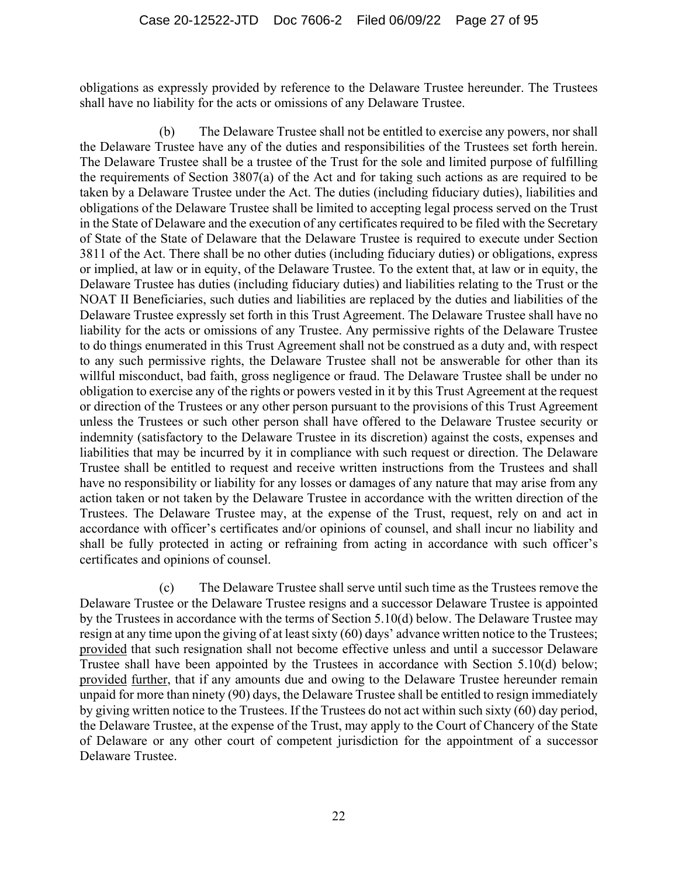obligations as expressly provided by reference to the Delaware Trustee hereunder. The Trustees shall have no liability for the acts or omissions of any Delaware Trustee.

(b) The Delaware Trustee shall not be entitled to exercise any powers, nor shall the Delaware Trustee have any of the duties and responsibilities of the Trustees set forth herein. The Delaware Trustee shall be a trustee of the Trust for the sole and limited purpose of fulfilling the requirements of Section 3807(a) of the Act and for taking such actions as are required to be taken by a Delaware Trustee under the Act. The duties (including fiduciary duties), liabilities and obligations of the Delaware Trustee shall be limited to accepting legal process served on the Trust in the State of Delaware and the execution of any certificates required to be filed with the Secretary of State of the State of Delaware that the Delaware Trustee is required to execute under Section 3811 of the Act. There shall be no other duties (including fiduciary duties) or obligations, express or implied, at law or in equity, of the Delaware Trustee. To the extent that, at law or in equity, the Delaware Trustee has duties (including fiduciary duties) and liabilities relating to the Trust or the NOAT II Beneficiaries, such duties and liabilities are replaced by the duties and liabilities of the Delaware Trustee expressly set forth in this Trust Agreement. The Delaware Trustee shall have no liability for the acts or omissions of any Trustee. Any permissive rights of the Delaware Trustee to do things enumerated in this Trust Agreement shall not be construed as a duty and, with respect to any such permissive rights, the Delaware Trustee shall not be answerable for other than its willful misconduct, bad faith, gross negligence or fraud. The Delaware Trustee shall be under no obligation to exercise any of the rights or powers vested in it by this Trust Agreement at the request or direction of the Trustees or any other person pursuant to the provisions of this Trust Agreement unless the Trustees or such other person shall have offered to the Delaware Trustee security or indemnity (satisfactory to the Delaware Trustee in its discretion) against the costs, expenses and liabilities that may be incurred by it in compliance with such request or direction. The Delaware Trustee shall be entitled to request and receive written instructions from the Trustees and shall have no responsibility or liability for any losses or damages of any nature that may arise from any action taken or not taken by the Delaware Trustee in accordance with the written direction of the Trustees. The Delaware Trustee may, at the expense of the Trust, request, rely on and act in accordance with officer's certificates and/or opinions of counsel, and shall incur no liability and shall be fully protected in acting or refraining from acting in accordance with such officer's certificates and opinions of counsel.

(c) The Delaware Trustee shall serve until such time as the Trustees remove the Delaware Trustee or the Delaware Trustee resigns and a successor Delaware Trustee is appointed by the Trustees in accordance with the terms of Section 5.10(d) below. The Delaware Trustee may resign at any time upon the giving of at least sixty (60) days' advance written notice to the Trustees; provided that such resignation shall not become effective unless and until a successor Delaware Trustee shall have been appointed by the Trustees in accordance with Section 5.10(d) below; provided further, that if any amounts due and owing to the Delaware Trustee hereunder remain unpaid for more than ninety (90) days, the Delaware Trustee shall be entitled to resign immediately by giving written notice to the Trustees. If the Trustees do not act within such sixty (60) day period, the Delaware Trustee, at the expense of the Trust, may apply to the Court of Chancery of the State of Delaware or any other court of competent jurisdiction for the appointment of a successor Delaware Trustee.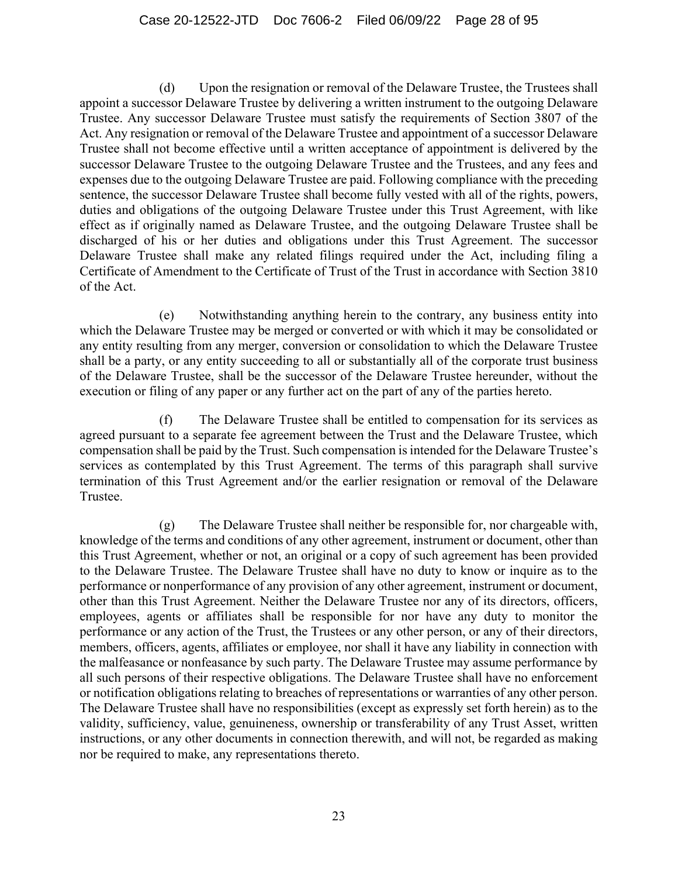(d) Upon the resignation or removal of the Delaware Trustee, the Trustees shall appoint a successor Delaware Trustee by delivering a written instrument to the outgoing Delaware Trustee. Any successor Delaware Trustee must satisfy the requirements of Section 3807 of the Act. Any resignation or removal of the Delaware Trustee and appointment of a successor Delaware Trustee shall not become effective until a written acceptance of appointment is delivered by the successor Delaware Trustee to the outgoing Delaware Trustee and the Trustees, and any fees and expenses due to the outgoing Delaware Trustee are paid. Following compliance with the preceding sentence, the successor Delaware Trustee shall become fully vested with all of the rights, powers, duties and obligations of the outgoing Delaware Trustee under this Trust Agreement, with like effect as if originally named as Delaware Trustee, and the outgoing Delaware Trustee shall be discharged of his or her duties and obligations under this Trust Agreement. The successor Delaware Trustee shall make any related filings required under the Act, including filing a Certificate of Amendment to the Certificate of Trust of the Trust in accordance with Section 3810 of the Act.

(e) Notwithstanding anything herein to the contrary, any business entity into which the Delaware Trustee may be merged or converted or with which it may be consolidated or any entity resulting from any merger, conversion or consolidation to which the Delaware Trustee shall be a party, or any entity succeeding to all or substantially all of the corporate trust business of the Delaware Trustee, shall be the successor of the Delaware Trustee hereunder, without the execution or filing of any paper or any further act on the part of any of the parties hereto.

(f) The Delaware Trustee shall be entitled to compensation for its services as agreed pursuant to a separate fee agreement between the Trust and the Delaware Trustee, which compensation shall be paid by the Trust. Such compensation is intended for the Delaware Trustee's services as contemplated by this Trust Agreement. The terms of this paragraph shall survive termination of this Trust Agreement and/or the earlier resignation or removal of the Delaware Trustee.

(g) The Delaware Trustee shall neither be responsible for, nor chargeable with, knowledge of the terms and conditions of any other agreement, instrument or document, other than this Trust Agreement, whether or not, an original or a copy of such agreement has been provided to the Delaware Trustee. The Delaware Trustee shall have no duty to know or inquire as to the performance or nonperformance of any provision of any other agreement, instrument or document, other than this Trust Agreement. Neither the Delaware Trustee nor any of its directors, officers, employees, agents or affiliates shall be responsible for nor have any duty to monitor the performance or any action of the Trust, the Trustees or any other person, or any of their directors, members, officers, agents, affiliates or employee, nor shall it have any liability in connection with the malfeasance or nonfeasance by such party. The Delaware Trustee may assume performance by all such persons of their respective obligations. The Delaware Trustee shall have no enforcement or notification obligations relating to breaches of representations or warranties of any other person. The Delaware Trustee shall have no responsibilities (except as expressly set forth herein) as to the validity, sufficiency, value, genuineness, ownership or transferability of any Trust Asset, written instructions, or any other documents in connection therewith, and will not, be regarded as making nor be required to make, any representations thereto.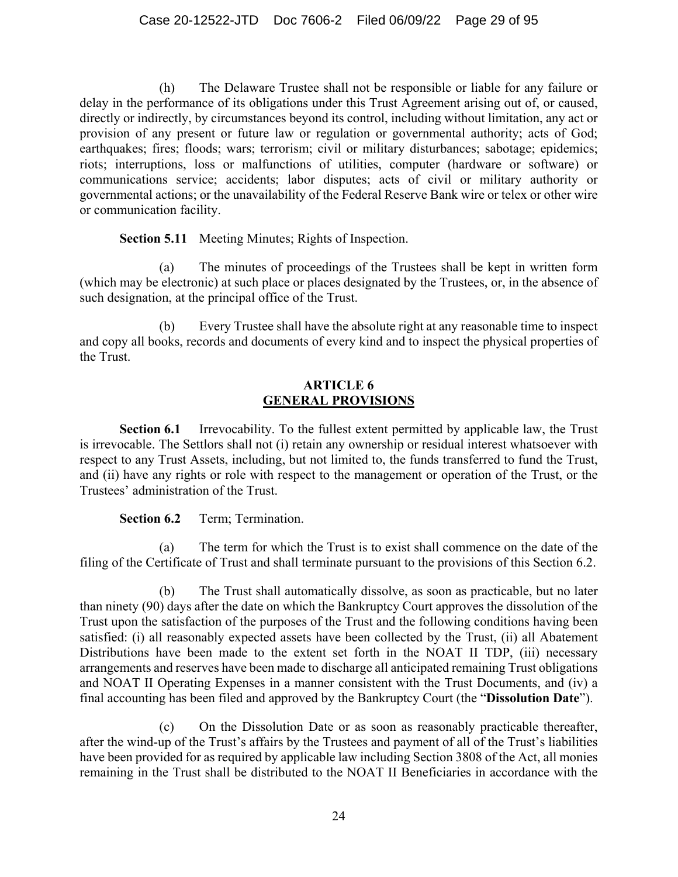(h) The Delaware Trustee shall not be responsible or liable for any failure or delay in the performance of its obligations under this Trust Agreement arising out of, or caused, directly or indirectly, by circumstances beyond its control, including without limitation, any act or provision of any present or future law or regulation or governmental authority; acts of God; earthquakes; fires; floods; wars; terrorism; civil or military disturbances; sabotage; epidemics; riots; interruptions, loss or malfunctions of utilities, computer (hardware or software) or communications service; accidents; labor disputes; acts of civil or military authority or governmental actions; or the unavailability of the Federal Reserve Bank wire or telex or other wire or communication facility.

**Section 5.11** Meeting Minutes; Rights of Inspection.

(a) The minutes of proceedings of the Trustees shall be kept in written form (which may be electronic) at such place or places designated by the Trustees, or, in the absence of such designation, at the principal office of the Trust.

(b) Every Trustee shall have the absolute right at any reasonable time to inspect and copy all books, records and documents of every kind and to inspect the physical properties of the Trust.

#### **ARTICLE 6 GENERAL PROVISIONS**

**Section 6.1** Irrevocability. To the fullest extent permitted by applicable law, the Trust is irrevocable. The Settlors shall not (i) retain any ownership or residual interest whatsoever with respect to any Trust Assets, including, but not limited to, the funds transferred to fund the Trust, and (ii) have any rights or role with respect to the management or operation of the Trust, or the Trustees' administration of the Trust.

#### **Section 6.2** Term; Termination.

(a) The term for which the Trust is to exist shall commence on the date of the filing of the Certificate of Trust and shall terminate pursuant to the provisions of this Section 6.2.

(b) The Trust shall automatically dissolve, as soon as practicable, but no later than ninety (90) days after the date on which the Bankruptcy Court approves the dissolution of the Trust upon the satisfaction of the purposes of the Trust and the following conditions having been satisfied: (i) all reasonably expected assets have been collected by the Trust, (ii) all Abatement Distributions have been made to the extent set forth in the NOAT II TDP, (iii) necessary arrangements and reserves have been made to discharge all anticipated remaining Trust obligations and NOAT II Operating Expenses in a manner consistent with the Trust Documents, and (iv) a final accounting has been filed and approved by the Bankruptcy Court (the "**Dissolution Date**").

(c) On the Dissolution Date or as soon as reasonably practicable thereafter, after the wind-up of the Trust's affairs by the Trustees and payment of all of the Trust's liabilities have been provided for as required by applicable law including Section 3808 of the Act, all monies remaining in the Trust shall be distributed to the NOAT II Beneficiaries in accordance with the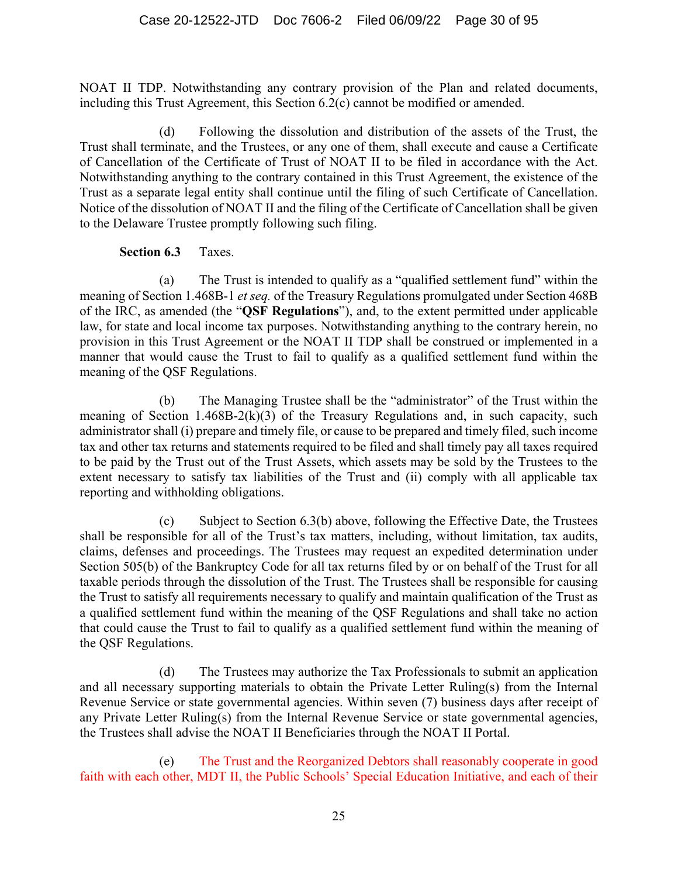NOAT II TDP. Notwithstanding any contrary provision of the Plan and related documents, including this Trust Agreement, this Section 6.2(c) cannot be modified or amended.

(d) Following the dissolution and distribution of the assets of the Trust, the Trust shall terminate, and the Trustees, or any one of them, shall execute and cause a Certificate of Cancellation of the Certificate of Trust of NOAT II to be filed in accordance with the Act. Notwithstanding anything to the contrary contained in this Trust Agreement, the existence of the Trust as a separate legal entity shall continue until the filing of such Certificate of Cancellation. Notice of the dissolution of NOAT II and the filing of the Certificate of Cancellation shall be given to the Delaware Trustee promptly following such filing.

#### **Section 6.3** Taxes.

(a) The Trust is intended to qualify as a "qualified settlement fund" within the meaning of Section 1.468B-1 *et seq.* of the Treasury Regulations promulgated under Section 468B of the IRC, as amended (the "**QSF Regulations**"), and, to the extent permitted under applicable law, for state and local income tax purposes. Notwithstanding anything to the contrary herein, no provision in this Trust Agreement or the NOAT II TDP shall be construed or implemented in a manner that would cause the Trust to fail to qualify as a qualified settlement fund within the meaning of the QSF Regulations.

(b) The Managing Trustee shall be the "administrator" of the Trust within the meaning of Section 1.468B-2(k)(3) of the Treasury Regulations and, in such capacity, such administrator shall (i) prepare and timely file, or cause to be prepared and timely filed, such income tax and other tax returns and statements required to be filed and shall timely pay all taxes required to be paid by the Trust out of the Trust Assets, which assets may be sold by the Trustees to the extent necessary to satisfy tax liabilities of the Trust and (ii) comply with all applicable tax reporting and withholding obligations.

(c) Subject to Section 6.3(b) above, following the Effective Date, the Trustees shall be responsible for all of the Trust's tax matters, including, without limitation, tax audits, claims, defenses and proceedings. The Trustees may request an expedited determination under Section 505(b) of the Bankruptcy Code for all tax returns filed by or on behalf of the Trust for all taxable periods through the dissolution of the Trust. The Trustees shall be responsible for causing the Trust to satisfy all requirements necessary to qualify and maintain qualification of the Trust as a qualified settlement fund within the meaning of the QSF Regulations and shall take no action that could cause the Trust to fail to qualify as a qualified settlement fund within the meaning of the QSF Regulations.

(d) The Trustees may authorize the Tax Professionals to submit an application and all necessary supporting materials to obtain the Private Letter Ruling(s) from the Internal Revenue Service or state governmental agencies. Within seven (7) business days after receipt of any Private Letter Ruling(s) from the Internal Revenue Service or state governmental agencies, the Trustees shall advise the NOAT II Beneficiaries through the NOAT II Portal.

(e) The Trust and the Reorganized Debtors shall reasonably cooperate in good faith with each other, MDT II, the Public Schools' Special Education Initiative, and each of their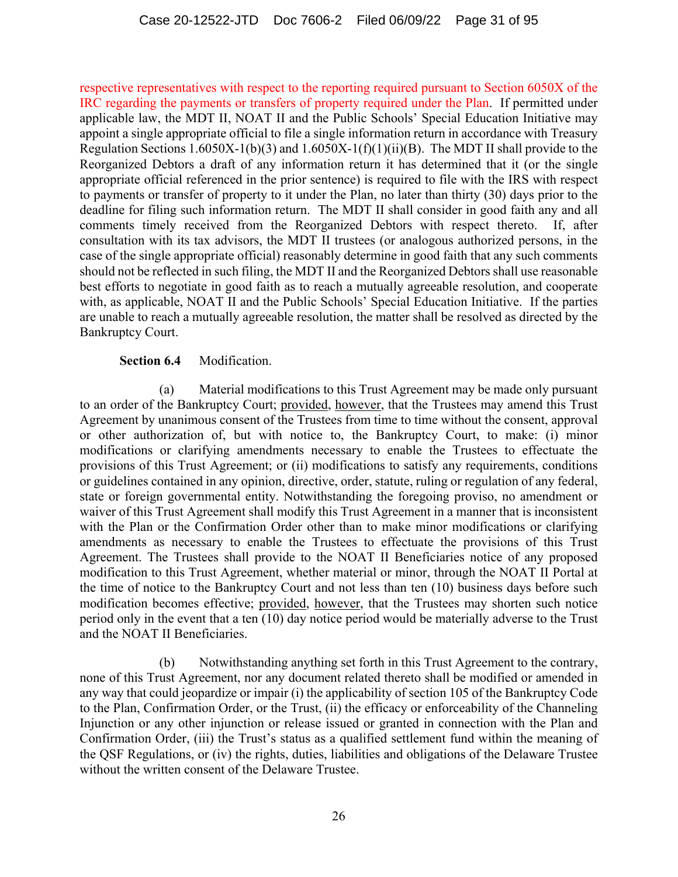respective representatives with respect to the reporting required pursuant to Section 6050X of the IRC regarding the payments or transfers of property required under the Plan. If permitted under applicable law, the MDT II, NOAT II and the Public Schools' Special Education Initiative may appoint a single appropriate official to file a single information return in accordance with Treasury Regulation Sections 1.6050X-1(b)(3) and 1.6050X-1(f)(1)(ii)(B). The MDT II shall provide to the Reorganized Debtors a draft of any information return it has determined that it (or the single appropriate official referenced in the prior sentence) is required to file with the IRS with respect to payments or transfer of property to it under the Plan, no later than thirty (30) days prior to the deadline for filing such information return. The MDT II shall consider in good faith any and all comments timely received from the Reorganized Debtors with respect thereto. If, after consultation with its tax advisors, the MDT II trustees (or analogous authorized persons, in the case of the single appropriate official) reasonably determine in good faith that any such comments should not be reflected in such filing, the MDT II and the Reorganized Debtors shall use reasonable best efforts to negotiate in good faith as to reach a mutually agreeable resolution, and cooperate with, as applicable, NOAT II and the Public Schools' Special Education Initiative. If the parties are unable to reach a mutually agreeable resolution, the matter shall be resolved as directed by the Bankruptcy Court.

#### **Section 6.4** Modification.

(a) Material modifications to this Trust Agreement may be made only pursuant to an order of the Bankruptcy Court; provided, however, that the Trustees may amend this Trust Agreement by unanimous consent of the Trustees from time to time without the consent, approval or other authorization of, but with notice to, the Bankruptcy Court, to make: (i) minor modifications or clarifying amendments necessary to enable the Trustees to effectuate the provisions of this Trust Agreement; or (ii) modifications to satisfy any requirements, conditions or guidelines contained in any opinion, directive, order, statute, ruling or regulation of any federal, state or foreign governmental entity. Notwithstanding the foregoing proviso, no amendment or waiver of this Trust Agreement shall modify this Trust Agreement in a manner that is inconsistent with the Plan or the Confirmation Order other than to make minor modifications or clarifying amendments as necessary to enable the Trustees to effectuate the provisions of this Trust Agreement. The Trustees shall provide to the NOAT II Beneficiaries notice of any proposed modification to this Trust Agreement, whether material or minor, through the NOAT II Portal at the time of notice to the Bankruptcy Court and not less than ten (10) business days before such modification becomes effective; provided, however, that the Trustees may shorten such notice period only in the event that a ten (10) day notice period would be materially adverse to the Trust and the NOAT II Beneficiaries.

(b) Notwithstanding anything set forth in this Trust Agreement to the contrary, none of this Trust Agreement, nor any document related thereto shall be modified or amended in any way that could jeopardize or impair (i) the applicability of section 105 of the Bankruptcy Code to the Plan, Confirmation Order, or the Trust, (ii) the efficacy or enforceability of the Channeling Injunction or any other injunction or release issued or granted in connection with the Plan and Confirmation Order, (iii) the Trust's status as a qualified settlement fund within the meaning of the QSF Regulations, or (iv) the rights, duties, liabilities and obligations of the Delaware Trustee without the written consent of the Delaware Trustee.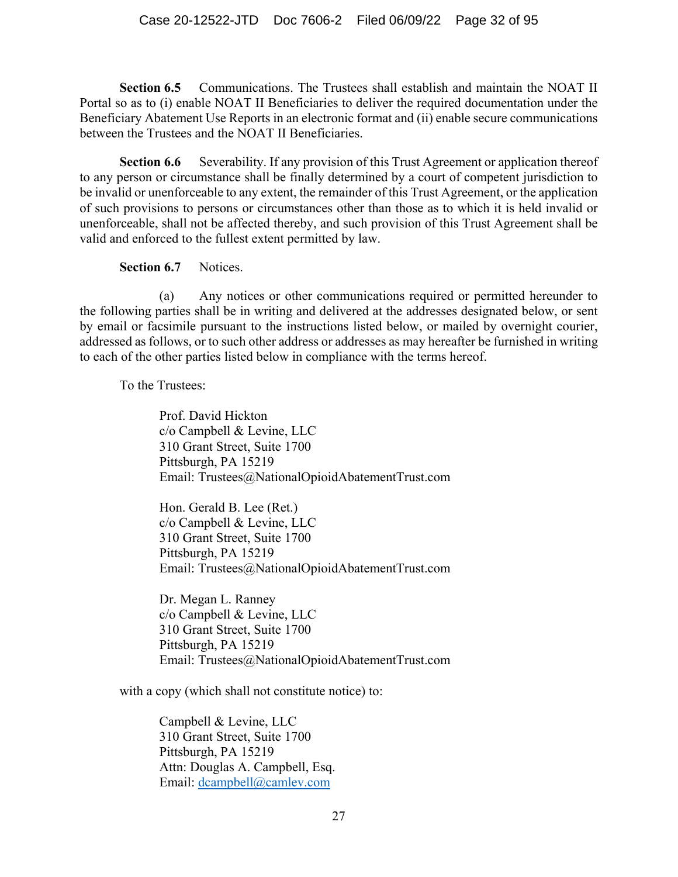**Section 6.5** Communications. The Trustees shall establish and maintain the NOAT II Portal so as to (i) enable NOAT II Beneficiaries to deliver the required documentation under the Beneficiary Abatement Use Reports in an electronic format and (ii) enable secure communications between the Trustees and the NOAT II Beneficiaries.

**Section 6.6** Severability. If any provision of this Trust Agreement or application thereof to any person or circumstance shall be finally determined by a court of competent jurisdiction to be invalid or unenforceable to any extent, the remainder of this Trust Agreement, or the application of such provisions to persons or circumstances other than those as to which it is held invalid or unenforceable, shall not be affected thereby, and such provision of this Trust Agreement shall be valid and enforced to the fullest extent permitted by law.

**Section 6.7** Notices.

(a) Any notices or other communications required or permitted hereunder to the following parties shall be in writing and delivered at the addresses designated below, or sent by email or facsimile pursuant to the instructions listed below, or mailed by overnight courier, addressed as follows, or to such other address or addresses as may hereafter be furnished in writing to each of the other parties listed below in compliance with the terms hereof.

To the Trustees:

Prof. David Hickton c/o Campbell & Levine, LLC 310 Grant Street, Suite 1700 Pittsburgh, PA 15219 Email: Trustees@NationalOpioidAbatementTrust.com

Hon. Gerald B. Lee (Ret.) c/o Campbell & Levine, LLC 310 Grant Street, Suite 1700 Pittsburgh, PA 15219 Email: Trustees@NationalOpioidAbatementTrust.com

Dr. Megan L. Ranney c/o Campbell & Levine, LLC 310 Grant Street, Suite 1700 Pittsburgh, PA 15219 Email: Trustees@NationalOpioidAbatementTrust.com

with a copy (which shall not constitute notice) to:

Campbell & Levine, LLC 310 Grant Street, Suite 1700 Pittsburgh, PA 15219 Attn: Douglas A. Campbell, Esq. Email: dcampbell@camlev.com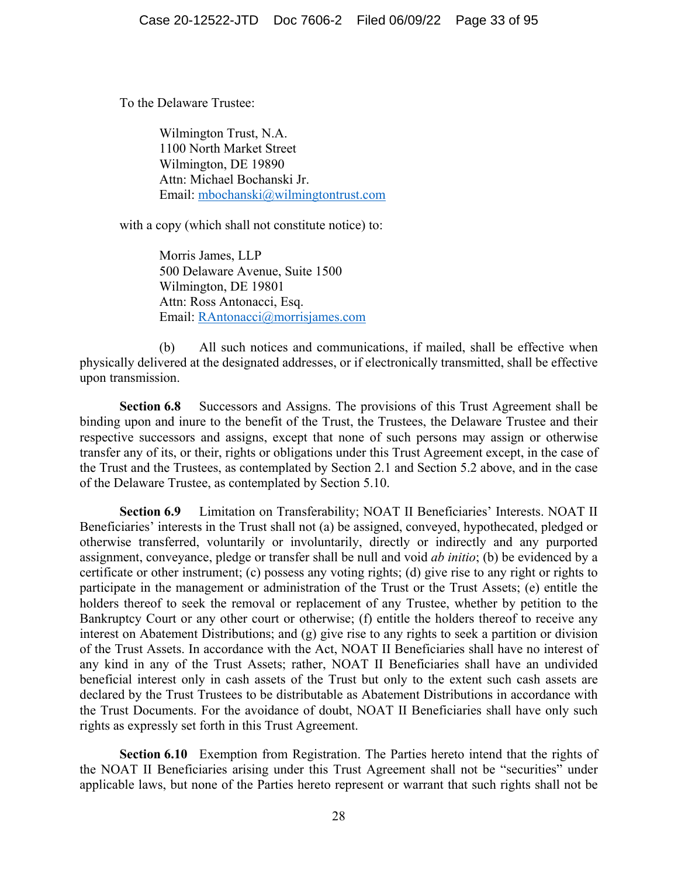To the Delaware Trustee:

Wilmington Trust, N.A. 1100 North Market Street Wilmington, DE 19890 Attn: Michael Bochanski Jr. Email: mbochanski@wilmingtontrust.com

with a copy (which shall not constitute notice) to:

Morris James, LLP 500 Delaware Avenue, Suite 1500 Wilmington, DE 19801 Attn: Ross Antonacci, Esq. Email: RAntonacci@morrisjames.com

(b) All such notices and communications, if mailed, shall be effective when physically delivered at the designated addresses, or if electronically transmitted, shall be effective upon transmission.

**Section 6.8** Successors and Assigns. The provisions of this Trust Agreement shall be binding upon and inure to the benefit of the Trust, the Trustees, the Delaware Trustee and their respective successors and assigns, except that none of such persons may assign or otherwise transfer any of its, or their, rights or obligations under this Trust Agreement except, in the case of the Trust and the Trustees, as contemplated by Section 2.1 and Section 5.2 above, and in the case of the Delaware Trustee, as contemplated by Section 5.10.

**Section 6.9** Limitation on Transferability; NOAT II Beneficiaries' Interests. NOAT II Beneficiaries' interests in the Trust shall not (a) be assigned, conveyed, hypothecated, pledged or otherwise transferred, voluntarily or involuntarily, directly or indirectly and any purported assignment, conveyance, pledge or transfer shall be null and void *ab initio*; (b) be evidenced by a certificate or other instrument; (c) possess any voting rights; (d) give rise to any right or rights to participate in the management or administration of the Trust or the Trust Assets; (e) entitle the holders thereof to seek the removal or replacement of any Trustee, whether by petition to the Bankruptcy Court or any other court or otherwise; (f) entitle the holders thereof to receive any interest on Abatement Distributions; and (g) give rise to any rights to seek a partition or division of the Trust Assets. In accordance with the Act, NOAT II Beneficiaries shall have no interest of any kind in any of the Trust Assets; rather, NOAT II Beneficiaries shall have an undivided beneficial interest only in cash assets of the Trust but only to the extent such cash assets are declared by the Trust Trustees to be distributable as Abatement Distributions in accordance with the Trust Documents. For the avoidance of doubt, NOAT II Beneficiaries shall have only such rights as expressly set forth in this Trust Agreement.

**Section 6.10** Exemption from Registration. The Parties hereto intend that the rights of the NOAT II Beneficiaries arising under this Trust Agreement shall not be "securities" under applicable laws, but none of the Parties hereto represent or warrant that such rights shall not be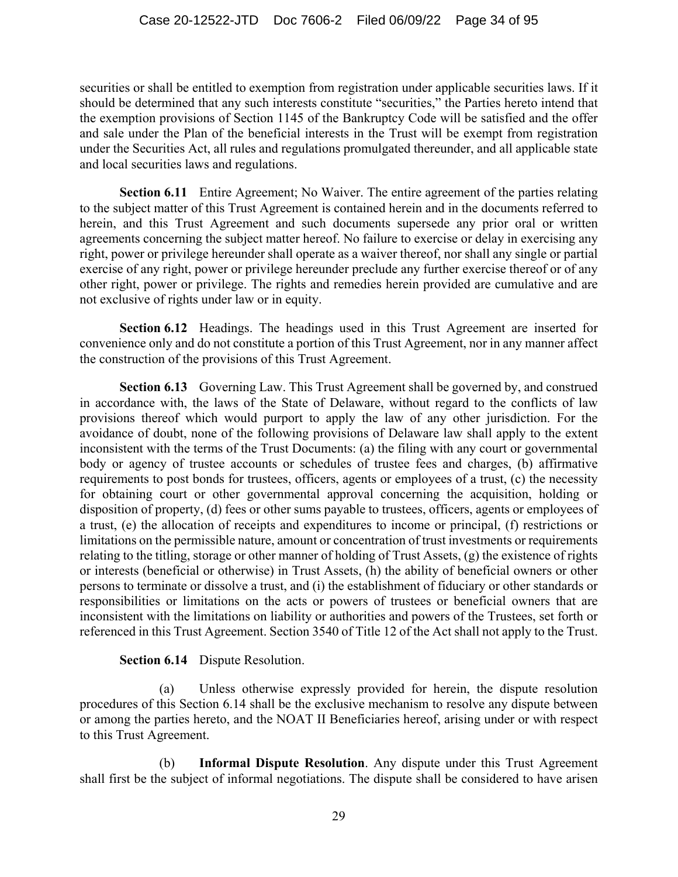securities or shall be entitled to exemption from registration under applicable securities laws. If it should be determined that any such interests constitute "securities," the Parties hereto intend that the exemption provisions of Section 1145 of the Bankruptcy Code will be satisfied and the offer and sale under the Plan of the beneficial interests in the Trust will be exempt from registration under the Securities Act, all rules and regulations promulgated thereunder, and all applicable state and local securities laws and regulations.

**Section 6.11** Entire Agreement; No Waiver. The entire agreement of the parties relating to the subject matter of this Trust Agreement is contained herein and in the documents referred to herein, and this Trust Agreement and such documents supersede any prior oral or written agreements concerning the subject matter hereof. No failure to exercise or delay in exercising any right, power or privilege hereunder shall operate as a waiver thereof, nor shall any single or partial exercise of any right, power or privilege hereunder preclude any further exercise thereof or of any other right, power or privilege. The rights and remedies herein provided are cumulative and are not exclusive of rights under law or in equity.

**Section 6.12** Headings. The headings used in this Trust Agreement are inserted for convenience only and do not constitute a portion of this Trust Agreement, nor in any manner affect the construction of the provisions of this Trust Agreement.

**Section 6.13** Governing Law. This Trust Agreement shall be governed by, and construed in accordance with, the laws of the State of Delaware, without regard to the conflicts of law provisions thereof which would purport to apply the law of any other jurisdiction. For the avoidance of doubt, none of the following provisions of Delaware law shall apply to the extent inconsistent with the terms of the Trust Documents: (a) the filing with any court or governmental body or agency of trustee accounts or schedules of trustee fees and charges, (b) affirmative requirements to post bonds for trustees, officers, agents or employees of a trust, (c) the necessity for obtaining court or other governmental approval concerning the acquisition, holding or disposition of property, (d) fees or other sums payable to trustees, officers, agents or employees of a trust, (e) the allocation of receipts and expenditures to income or principal, (f) restrictions or limitations on the permissible nature, amount or concentration of trust investments or requirements relating to the titling, storage or other manner of holding of Trust Assets, (g) the existence of rights or interests (beneficial or otherwise) in Trust Assets, (h) the ability of beneficial owners or other persons to terminate or dissolve a trust, and (i) the establishment of fiduciary or other standards or responsibilities or limitations on the acts or powers of trustees or beneficial owners that are inconsistent with the limitations on liability or authorities and powers of the Trustees, set forth or referenced in this Trust Agreement. Section 3540 of Title 12 of the Act shall not apply to the Trust.

#### **Section 6.14** Dispute Resolution.

(a) Unless otherwise expressly provided for herein, the dispute resolution procedures of this Section 6.14 shall be the exclusive mechanism to resolve any dispute between or among the parties hereto, and the NOAT II Beneficiaries hereof, arising under or with respect to this Trust Agreement.

(b) **Informal Dispute Resolution**. Any dispute under this Trust Agreement shall first be the subject of informal negotiations. The dispute shall be considered to have arisen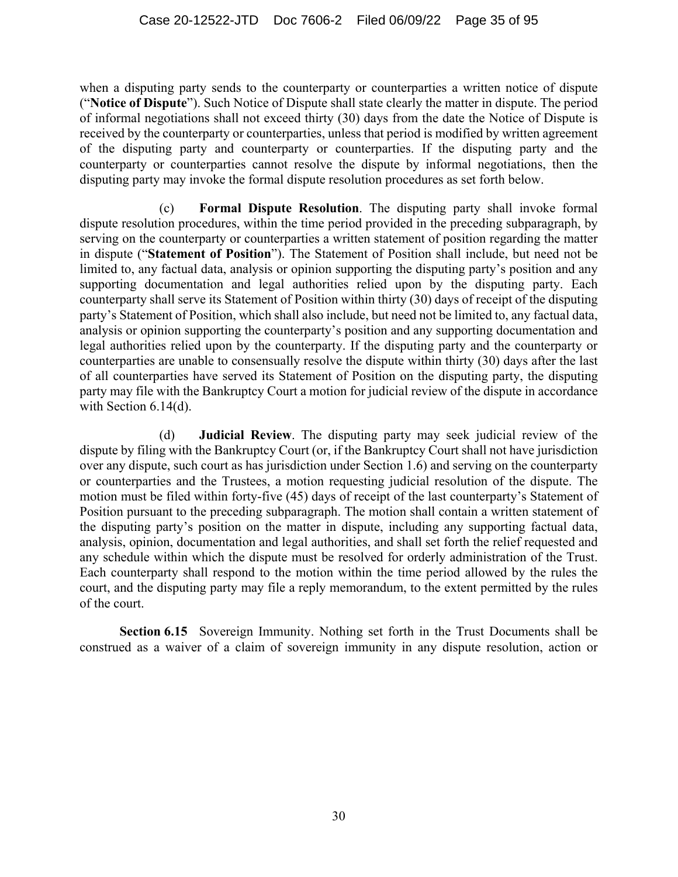when a disputing party sends to the counterparty or counterparties a written notice of dispute ("**Notice of Dispute**"). Such Notice of Dispute shall state clearly the matter in dispute. The period of informal negotiations shall not exceed thirty (30) days from the date the Notice of Dispute is received by the counterparty or counterparties, unless that period is modified by written agreement of the disputing party and counterparty or counterparties. If the disputing party and the counterparty or counterparties cannot resolve the dispute by informal negotiations, then the disputing party may invoke the formal dispute resolution procedures as set forth below.

(c) **Formal Dispute Resolution**. The disputing party shall invoke formal dispute resolution procedures, within the time period provided in the preceding subparagraph, by serving on the counterparty or counterparties a written statement of position regarding the matter in dispute ("**Statement of Position**"). The Statement of Position shall include, but need not be limited to, any factual data, analysis or opinion supporting the disputing party's position and any supporting documentation and legal authorities relied upon by the disputing party. Each counterparty shall serve its Statement of Position within thirty (30) days of receipt of the disputing party's Statement of Position, which shall also include, but need not be limited to, any factual data, analysis or opinion supporting the counterparty's position and any supporting documentation and legal authorities relied upon by the counterparty. If the disputing party and the counterparty or counterparties are unable to consensually resolve the dispute within thirty (30) days after the last of all counterparties have served its Statement of Position on the disputing party, the disputing party may file with the Bankruptcy Court a motion for judicial review of the dispute in accordance with Section 6.14(d).

(d) **Judicial Review**. The disputing party may seek judicial review of the dispute by filing with the Bankruptcy Court (or, if the Bankruptcy Court shall not have jurisdiction over any dispute, such court as has jurisdiction under Section 1.6) and serving on the counterparty or counterparties and the Trustees, a motion requesting judicial resolution of the dispute. The motion must be filed within forty-five (45) days of receipt of the last counterparty's Statement of Position pursuant to the preceding subparagraph. The motion shall contain a written statement of the disputing party's position on the matter in dispute, including any supporting factual data, analysis, opinion, documentation and legal authorities, and shall set forth the relief requested and any schedule within which the dispute must be resolved for orderly administration of the Trust. Each counterparty shall respond to the motion within the time period allowed by the rules the court, and the disputing party may file a reply memorandum, to the extent permitted by the rules of the court.

**Section 6.15** Sovereign Immunity. Nothing set forth in the Trust Documents shall be construed as a waiver of a claim of sovereign immunity in any dispute resolution, action or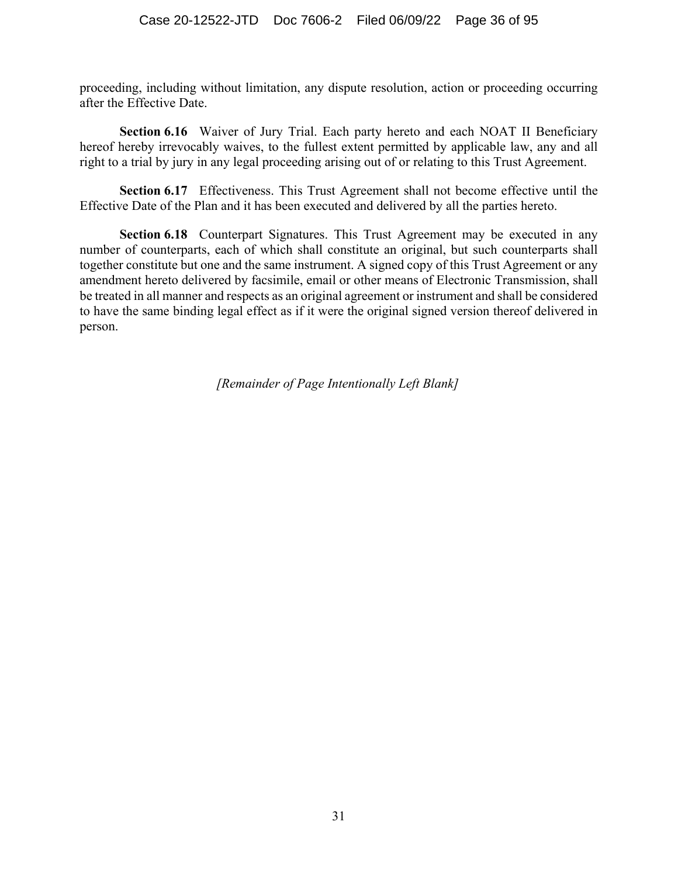proceeding, including without limitation, any dispute resolution, action or proceeding occurring after the Effective Date.

**Section 6.16** Waiver of Jury Trial. Each party hereto and each NOAT II Beneficiary hereof hereby irrevocably waives, to the fullest extent permitted by applicable law, any and all right to a trial by jury in any legal proceeding arising out of or relating to this Trust Agreement.

**Section 6.17** Effectiveness. This Trust Agreement shall not become effective until the Effective Date of the Plan and it has been executed and delivered by all the parties hereto.

**Section 6.18** Counterpart Signatures. This Trust Agreement may be executed in any number of counterparts, each of which shall constitute an original, but such counterparts shall together constitute but one and the same instrument. A signed copy of this Trust Agreement or any amendment hereto delivered by facsimile, email or other means of Electronic Transmission, shall be treated in all manner and respects as an original agreement or instrument and shall be considered to have the same binding legal effect as if it were the original signed version thereof delivered in person.

*[Remainder of Page Intentionally Left Blank]*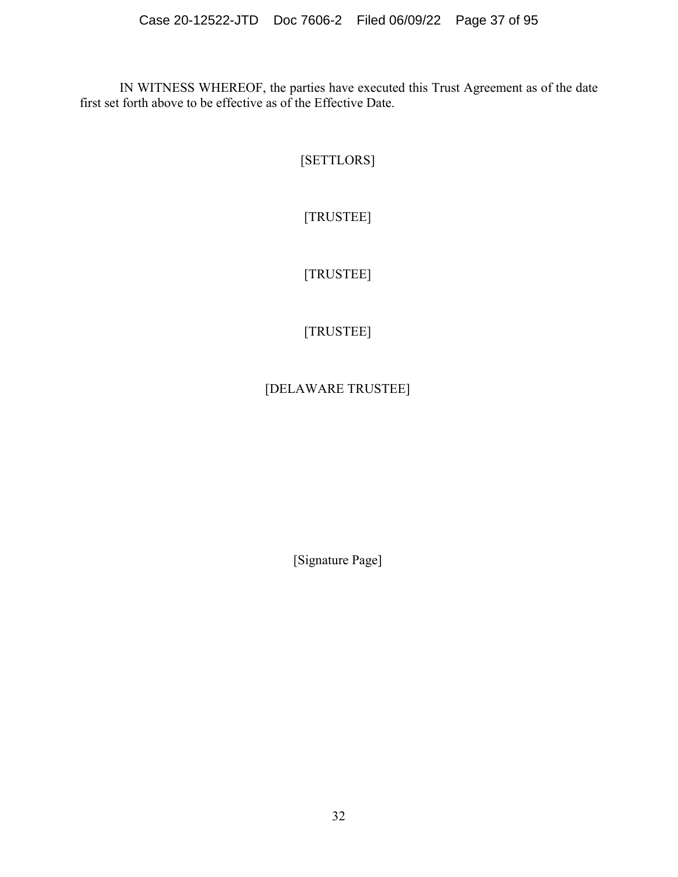IN WITNESS WHEREOF, the parties have executed this Trust Agreement as of the date first set forth above to be effective as of the Effective Date.

[SETTLORS]

[TRUSTEE]

[TRUSTEE]

# [TRUSTEE]

## [DELAWARE TRUSTEE]

[Signature Page]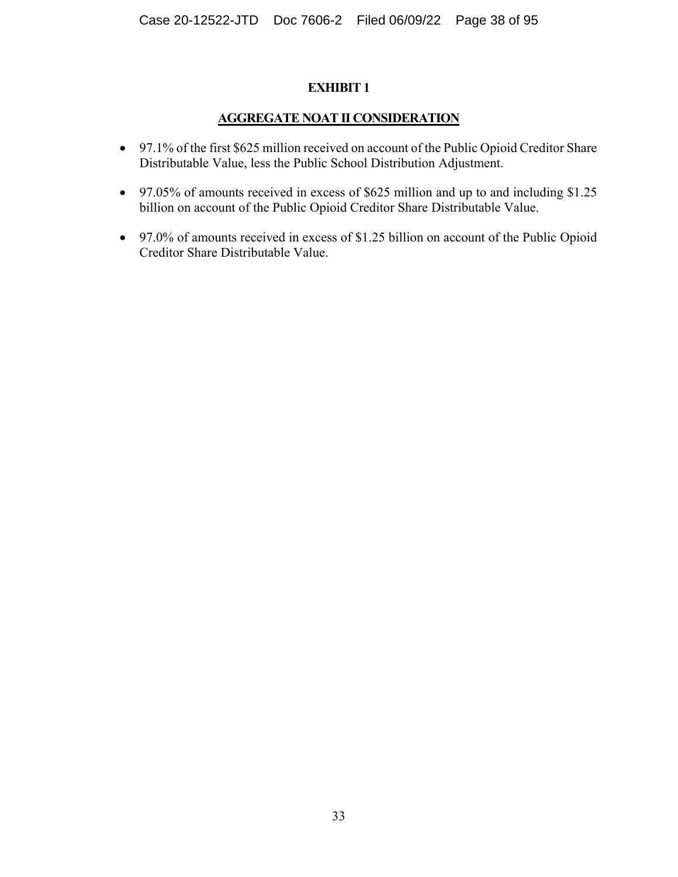#### **AGGREGATE NOAT II CONSIDERATION**

- 97.1% of the first \$625 million received on account of the Public Opioid Creditor Share Distributable Value, less the Public School Distribution Adjustment.
- 97.05% of amounts received in excess of \$625 million and up to and including \$1.25 billion on account of the Public Opioid Creditor Share Distributable Value.
- 97.0% of amounts received in excess of \$1.25 billion on account of the Public Opioid Creditor Share Distributable Value.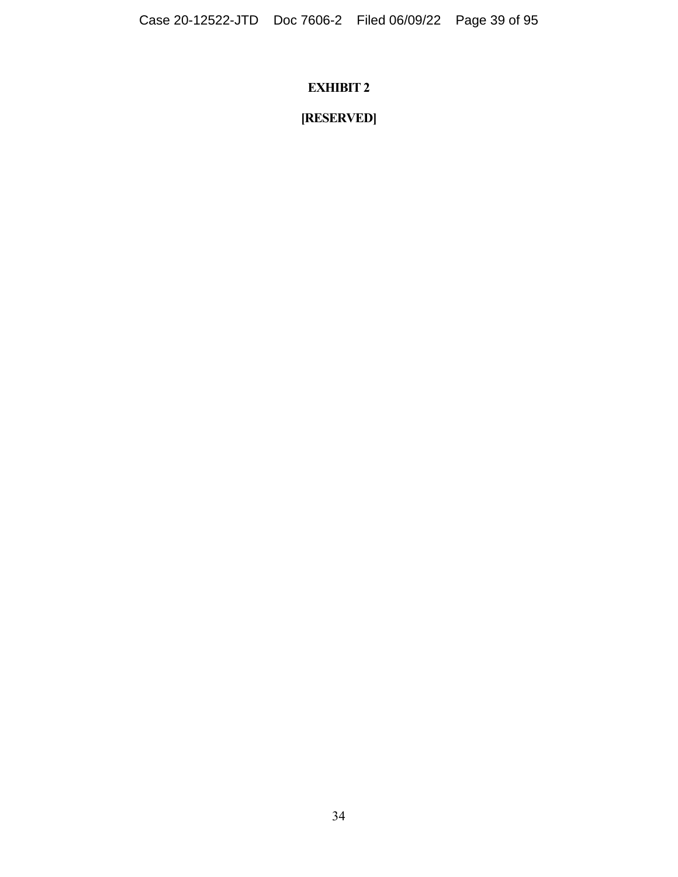# **[RESERVED]**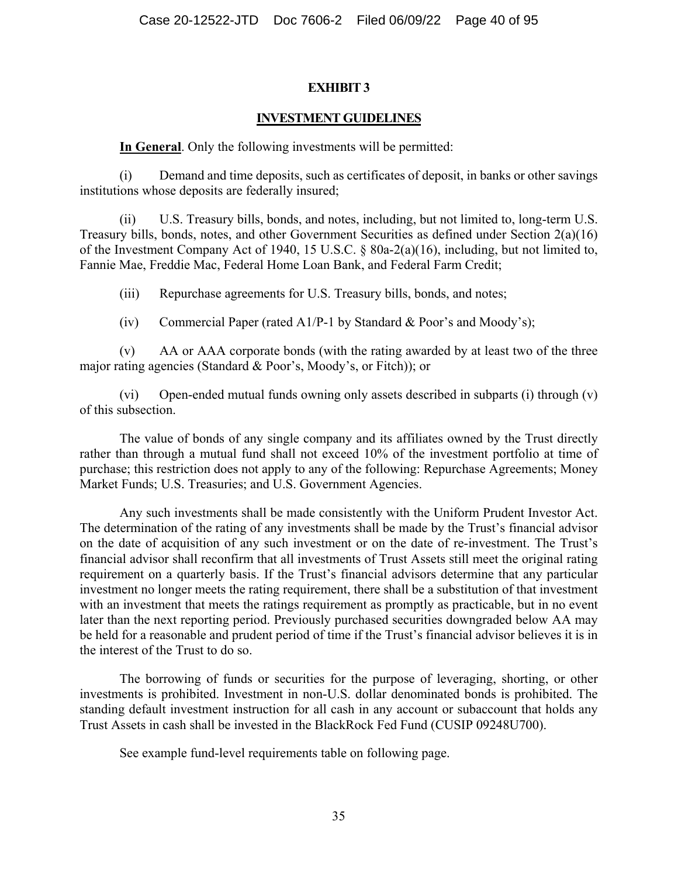#### **INVESTMENT GUIDELINES**

#### **In General**. Only the following investments will be permitted:

(i) Demand and time deposits, such as certificates of deposit, in banks or other savings institutions whose deposits are federally insured;

(ii) U.S. Treasury bills, bonds, and notes, including, but not limited to, long-term U.S. Treasury bills, bonds, notes, and other Government Securities as defined under Section 2(a)(16) of the Investment Company Act of 1940, 15 U.S.C. § 80a-2(a)(16), including, but not limited to, Fannie Mae, Freddie Mac, Federal Home Loan Bank, and Federal Farm Credit;

(iii) Repurchase agreements for U.S. Treasury bills, bonds, and notes;

(iv) Commercial Paper (rated A1/P-1 by Standard & Poor's and Moody's);

(v) AA or AAA corporate bonds (with the rating awarded by at least two of the three major rating agencies (Standard & Poor's, Moody's, or Fitch)); or

(vi) Open-ended mutual funds owning only assets described in subparts (i) through (v) of this subsection.

The value of bonds of any single company and its affiliates owned by the Trust directly rather than through a mutual fund shall not exceed 10% of the investment portfolio at time of purchase; this restriction does not apply to any of the following: Repurchase Agreements; Money Market Funds; U.S. Treasuries; and U.S. Government Agencies.

Any such investments shall be made consistently with the Uniform Prudent Investor Act. The determination of the rating of any investments shall be made by the Trust's financial advisor on the date of acquisition of any such investment or on the date of re-investment. The Trust's financial advisor shall reconfirm that all investments of Trust Assets still meet the original rating requirement on a quarterly basis. If the Trust's financial advisors determine that any particular investment no longer meets the rating requirement, there shall be a substitution of that investment with an investment that meets the ratings requirement as promptly as practicable, but in no event later than the next reporting period. Previously purchased securities downgraded below AA may be held for a reasonable and prudent period of time if the Trust's financial advisor believes it is in the interest of the Trust to do so.

The borrowing of funds or securities for the purpose of leveraging, shorting, or other investments is prohibited. Investment in non-U.S. dollar denominated bonds is prohibited. The standing default investment instruction for all cash in any account or subaccount that holds any Trust Assets in cash shall be invested in the BlackRock Fed Fund (CUSIP 09248U700).

See example fund-level requirements table on following page.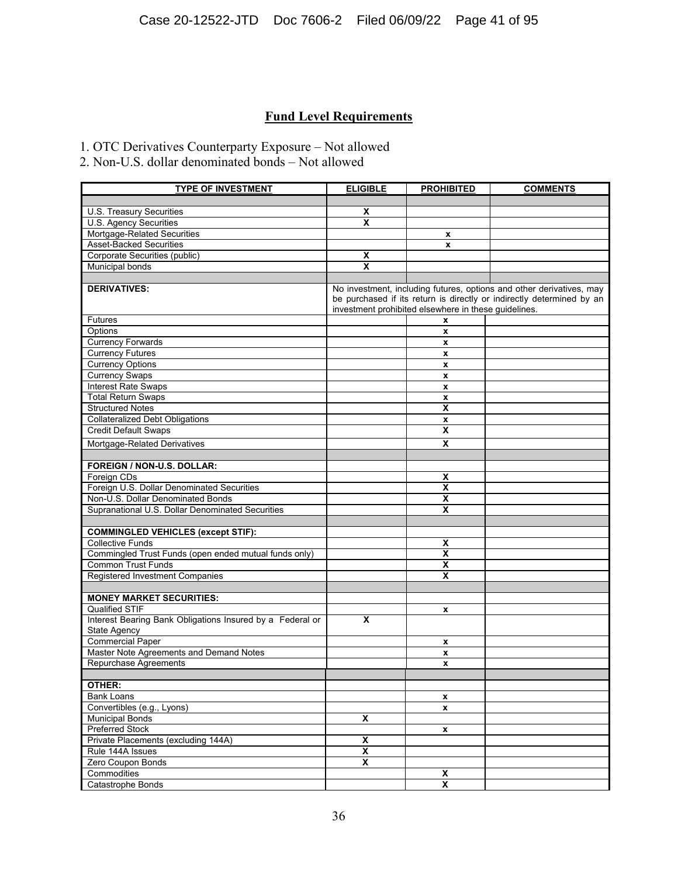### **Fund Level Requirements**

1. OTC Derivatives Counterparty Exposure – Not allowed

2. Non-U.S. dollar denominated bonds – Not allowed

| <b>TYPE OF INVESTMENT</b>                                 | <b>ELIGIBLE</b>                                                                                                                                                                                       | <b>PROHIBITED</b>       | <b>COMMENTS</b> |
|-----------------------------------------------------------|-------------------------------------------------------------------------------------------------------------------------------------------------------------------------------------------------------|-------------------------|-----------------|
|                                                           |                                                                                                                                                                                                       |                         |                 |
| U.S. Treasury Securities                                  | X                                                                                                                                                                                                     |                         |                 |
| <b>U.S. Agency Securities</b>                             | X                                                                                                                                                                                                     |                         |                 |
| Mortgage-Related Securities                               |                                                                                                                                                                                                       | $\mathbf{x}$            |                 |
| <b>Asset-Backed Securities</b>                            |                                                                                                                                                                                                       | X                       |                 |
| Corporate Securities (public)                             | X                                                                                                                                                                                                     |                         |                 |
| <b>Municipal bonds</b>                                    | X                                                                                                                                                                                                     |                         |                 |
|                                                           |                                                                                                                                                                                                       |                         |                 |
| <b>DERIVATIVES:</b>                                       | No investment, including futures, options and other derivatives, may<br>be purchased if its return is directly or indirectly determined by an<br>investment prohibited elsewhere in these guidelines. |                         |                 |
| Futures                                                   |                                                                                                                                                                                                       | x                       |                 |
| Options                                                   |                                                                                                                                                                                                       | x                       |                 |
| <b>Currency Forwards</b>                                  |                                                                                                                                                                                                       | x                       |                 |
| <b>Currency Futures</b>                                   |                                                                                                                                                                                                       | X                       |                 |
| <b>Currency Options</b>                                   |                                                                                                                                                                                                       | x                       |                 |
| <b>Currency Swaps</b>                                     |                                                                                                                                                                                                       | x                       |                 |
| <b>Interest Rate Swaps</b>                                |                                                                                                                                                                                                       | x                       |                 |
| <b>Total Return Swaps</b>                                 |                                                                                                                                                                                                       | x                       |                 |
| <b>Structured Notes</b>                                   |                                                                                                                                                                                                       | X                       |                 |
| <b>Collateralized Debt Obligations</b>                    |                                                                                                                                                                                                       | x                       |                 |
| <b>Credit Default Swaps</b>                               |                                                                                                                                                                                                       | X                       |                 |
| Mortgage-Related Derivatives                              |                                                                                                                                                                                                       | $\overline{\mathbf{x}}$ |                 |
|                                                           |                                                                                                                                                                                                       |                         |                 |
| <b>FOREIGN / NON-U.S. DOLLAR:</b>                         |                                                                                                                                                                                                       |                         |                 |
| Foreign CDs                                               |                                                                                                                                                                                                       | X                       |                 |
| Foreign U.S. Dollar Denominated Securities                |                                                                                                                                                                                                       | $\overline{\mathbf{x}}$ |                 |
| Non-U.S. Dollar Denominated Bonds                         |                                                                                                                                                                                                       | x                       |                 |
| Supranational U.S. Dollar Denominated Securities          |                                                                                                                                                                                                       | X                       |                 |
|                                                           |                                                                                                                                                                                                       |                         |                 |
| <b>COMMINGLED VEHICLES (except STIF):</b>                 |                                                                                                                                                                                                       |                         |                 |
| <b>Collective Funds</b>                                   |                                                                                                                                                                                                       | x                       |                 |
| Commingled Trust Funds (open ended mutual funds only)     |                                                                                                                                                                                                       | X                       |                 |
| <b>Common Trust Funds</b>                                 |                                                                                                                                                                                                       | X                       |                 |
| Registered Investment Companies                           |                                                                                                                                                                                                       | X                       |                 |
|                                                           |                                                                                                                                                                                                       |                         |                 |
| <b>MONEY MARKET SECURITIES:</b>                           |                                                                                                                                                                                                       |                         |                 |
| <b>Qualified STIF</b>                                     |                                                                                                                                                                                                       | X                       |                 |
| Interest Bearing Bank Obligations Insured by a Federal or | X                                                                                                                                                                                                     |                         |                 |
| <b>State Agency</b>                                       |                                                                                                                                                                                                       |                         |                 |
| <b>Commercial Paper</b>                                   |                                                                                                                                                                                                       | x                       |                 |
| Master Note Agreements and Demand Notes                   |                                                                                                                                                                                                       | x                       |                 |
| Repurchase Agreements                                     |                                                                                                                                                                                                       | X                       |                 |
|                                                           |                                                                                                                                                                                                       |                         |                 |
| OTHER:                                                    |                                                                                                                                                                                                       |                         |                 |
| <b>Bank Loans</b>                                         |                                                                                                                                                                                                       | x                       |                 |
| Convertibles (e.g., Lyons)                                |                                                                                                                                                                                                       | x                       |                 |
| <b>Municipal Bonds</b>                                    | X                                                                                                                                                                                                     |                         |                 |
| Preferred Stock                                           |                                                                                                                                                                                                       | x                       |                 |
| Private Placements (excluding 144A)                       | $\overline{\mathbf{X}}$                                                                                                                                                                               |                         |                 |
| Rule 144A Issues                                          | X                                                                                                                                                                                                     |                         |                 |
| Zero Coupon Bonds                                         | $\overline{\mathbf{X}}$                                                                                                                                                                               |                         |                 |
| Commodities                                               |                                                                                                                                                                                                       | X                       |                 |
| Catastrophe Bonds                                         |                                                                                                                                                                                                       | X                       |                 |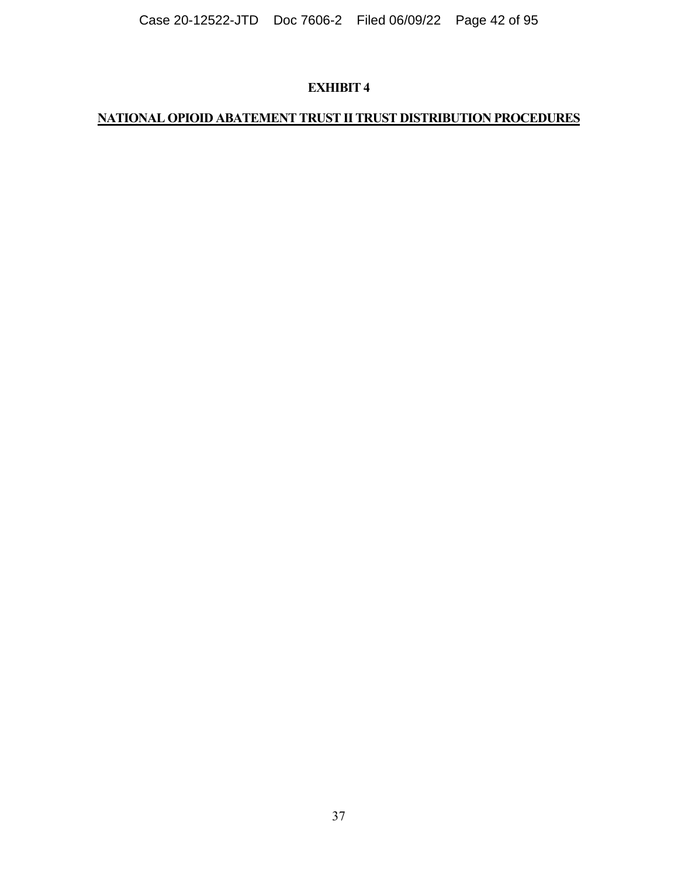# **NATIONAL OPIOID ABATEMENT TRUST II TRUST DISTRIBUTION PROCEDURES**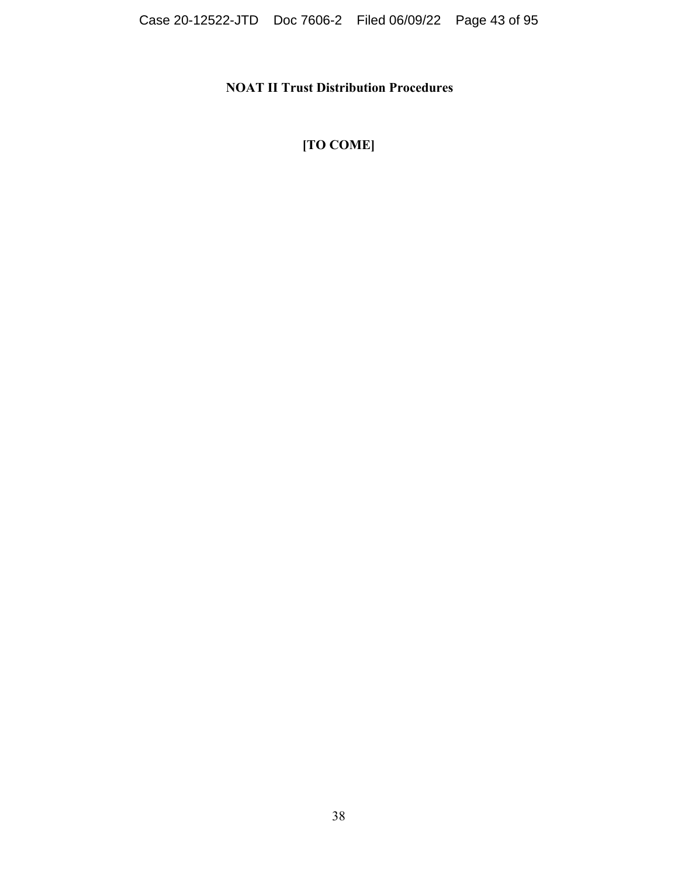## **NOAT II Trust Distribution Procedures**

# **[TO COME]**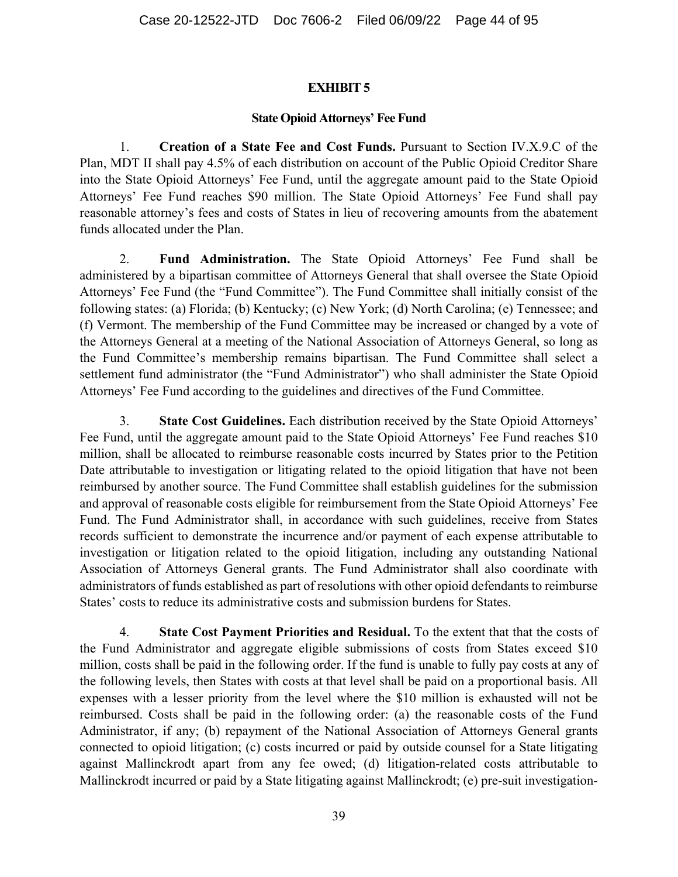#### **State Opioid Attorneys' Fee Fund**

1. **Creation of a State Fee and Cost Funds.** Pursuant to Section IV.X.9.C of the Plan, MDT II shall pay 4.5% of each distribution on account of the Public Opioid Creditor Share into the State Opioid Attorneys' Fee Fund, until the aggregate amount paid to the State Opioid Attorneys' Fee Fund reaches \$90 million. The State Opioid Attorneys' Fee Fund shall pay reasonable attorney's fees and costs of States in lieu of recovering amounts from the abatement funds allocated under the Plan.

2. **Fund Administration.** The State Opioid Attorneys' Fee Fund shall be administered by a bipartisan committee of Attorneys General that shall oversee the State Opioid Attorneys' Fee Fund (the "Fund Committee"). The Fund Committee shall initially consist of the following states: (a) Florida; (b) Kentucky; (c) New York; (d) North Carolina; (e) Tennessee; and (f) Vermont. The membership of the Fund Committee may be increased or changed by a vote of the Attorneys General at a meeting of the National Association of Attorneys General, so long as the Fund Committee's membership remains bipartisan. The Fund Committee shall select a settlement fund administrator (the "Fund Administrator") who shall administer the State Opioid Attorneys' Fee Fund according to the guidelines and directives of the Fund Committee.

3. **State Cost Guidelines.** Each distribution received by the State Opioid Attorneys' Fee Fund, until the aggregate amount paid to the State Opioid Attorneys' Fee Fund reaches \$10 million, shall be allocated to reimburse reasonable costs incurred by States prior to the Petition Date attributable to investigation or litigating related to the opioid litigation that have not been reimbursed by another source. The Fund Committee shall establish guidelines for the submission and approval of reasonable costs eligible for reimbursement from the State Opioid Attorneys' Fee Fund. The Fund Administrator shall, in accordance with such guidelines, receive from States records sufficient to demonstrate the incurrence and/or payment of each expense attributable to investigation or litigation related to the opioid litigation, including any outstanding National Association of Attorneys General grants. The Fund Administrator shall also coordinate with administrators of funds established as part of resolutions with other opioid defendants to reimburse States' costs to reduce its administrative costs and submission burdens for States.

4. **State Cost Payment Priorities and Residual.** To the extent that that the costs of the Fund Administrator and aggregate eligible submissions of costs from States exceed \$10 million, costs shall be paid in the following order. If the fund is unable to fully pay costs at any of the following levels, then States with costs at that level shall be paid on a proportional basis. All expenses with a lesser priority from the level where the \$10 million is exhausted will not be reimbursed. Costs shall be paid in the following order: (a) the reasonable costs of the Fund Administrator, if any; (b) repayment of the National Association of Attorneys General grants connected to opioid litigation; (c) costs incurred or paid by outside counsel for a State litigating against Mallinckrodt apart from any fee owed; (d) litigation-related costs attributable to Mallinckrodt incurred or paid by a State litigating against Mallinckrodt; (e) pre-suit investigation